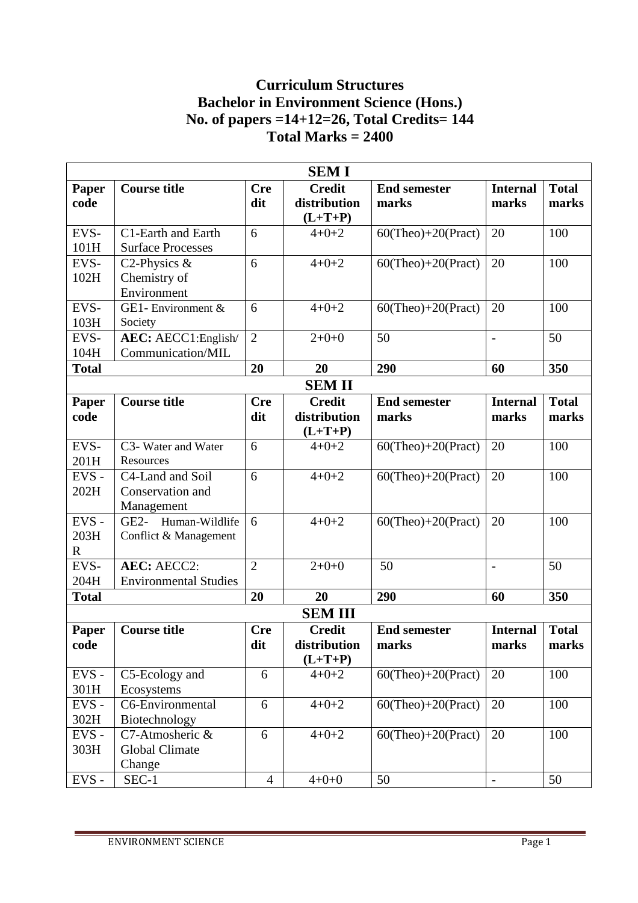# **Curriculum Structures Bachelor in Environment Science (Hons.) No. of papers =14+12=26, Total Credits= 144 Total Marks = 2400**

| <b>SEMI</b>                 |                                                             |                   |                                            |                              |                          |                       |  |
|-----------------------------|-------------------------------------------------------------|-------------------|--------------------------------------------|------------------------------|--------------------------|-----------------------|--|
| Paper<br>code               | <b>Course title</b>                                         | <b>Cre</b><br>dit | <b>Credit</b><br>distribution<br>$(L+T+P)$ | <b>End semester</b><br>marks | <b>Internal</b><br>marks | <b>Total</b><br>marks |  |
| EVS-<br>101H                | C1-Earth and Earth<br><b>Surface Processes</b>              | 6                 | $4 + 0 + 2$                                | $60$ (Theo)+20(Pract)        | 20                       | 100                   |  |
| EVS-<br>102H                | C <sub>2</sub> -Physics $\&$<br>Chemistry of<br>Environment | 6                 | $4 + 0 + 2$                                | $60$ (Theo)+20(Pract)        | 20                       | 100                   |  |
| EVS-<br>103H                | GE1-Environment &<br>Society                                | 6                 | $4 + 0 + 2$                                | $60$ (Theo)+20(Pract)        | 20                       | 100                   |  |
| EVS-<br>104H                | AEC: AECC1:English/<br>Communication/MIL                    | $\overline{2}$    | $2+0+0$                                    | 50                           | $\overline{\phantom{0}}$ | 50                    |  |
| <b>Total</b>                |                                                             | 20                | 20                                         | 290                          | 60                       | 350                   |  |
|                             |                                                             |                   | <b>SEMII</b>                               |                              |                          |                       |  |
| Paper<br>code               | <b>Course title</b>                                         | <b>Cre</b><br>dit | <b>Credit</b><br>distribution<br>$(L+T+P)$ | <b>End semester</b><br>marks | <b>Internal</b><br>marks | <b>Total</b><br>marks |  |
| EVS-<br>201H                | C3- Water and Water<br>Resources                            | 6                 | $4 + 0 + 2$                                | $60$ (Theo)+20(Pract)        | 20                       | 100                   |  |
| EVS-<br>202H                | C4-Land and Soil<br>Conservation and<br>Management          | 6                 | $4 + 0 + 2$                                | $60$ (Theo)+20(Pract)        | 20                       | 100                   |  |
| EVS-<br>203H<br>$\mathbf R$ | GE2- Human-Wildlife<br>Conflict & Management                | 6                 | $4 + 0 + 2$                                | $60$ (Theo)+20(Pract)        | 20                       | 100                   |  |
| EVS-<br>204H                | <b>AEC: AECC2:</b><br><b>Environmental Studies</b>          | $\overline{2}$    | $2+0+0$                                    | 50                           | $\overline{a}$           | 50                    |  |
| <b>Total</b>                |                                                             | 20                | 20                                         | 290                          | 60                       | 350                   |  |
|                             | <b>SEMIII</b>                                               |                   |                                            |                              |                          |                       |  |
| Paper<br>code               | <b>Course title</b>                                         | <b>Cre</b><br>dit | <b>Credit</b><br>distribution<br>$(L+T+P)$ | <b>End semester</b><br>marks | <b>Internal</b><br>marks | <b>Total</b><br>marks |  |
| EVS-<br>301H                | C5-Ecology and<br>Ecosystems                                | 6                 | $4 + 0 + 2$                                | $60$ (Theo)+20(Pract)        | 20                       | 100                   |  |
| $EVS -$<br>302H             | C6-Environmental<br>Biotechnology                           | 6                 | $4 + 0 + 2$                                | $60$ (Theo)+20(Pract)        | 20                       | 100                   |  |
| EVS-<br>303H                | C7-Atmosheric &<br><b>Global Climate</b><br>Change          | 6                 | $4 + 0 + 2$                                | $60$ (Theo)+20(Pract)        | 20                       | 100                   |  |
| $EVS$ -                     | SEC-1                                                       | $\overline{4}$    | $4 + 0 + 0$                                | 50                           | $\overline{a}$           | 50                    |  |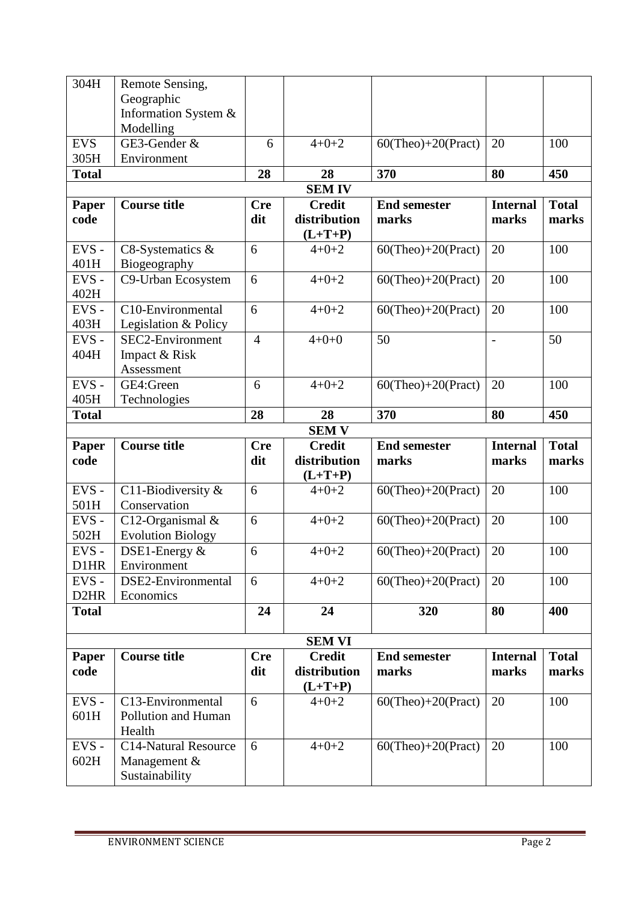| 304H              | Remote Sensing,                |                |               |                       |                 |              |
|-------------------|--------------------------------|----------------|---------------|-----------------------|-----------------|--------------|
|                   | Geographic                     |                |               |                       |                 |              |
|                   | Information System &           |                |               |                       |                 |              |
|                   | Modelling                      |                |               |                       |                 |              |
| <b>EVS</b>        | GE3-Gender &                   | 6              | $4 + 0 + 2$   | $60$ (Theo)+20(Pract) | 20              | 100          |
| 305H              | Environment                    |                |               |                       |                 |              |
| <b>Total</b>      |                                | 28             | 28            | 370                   | 80              | 450          |
|                   |                                |                | <b>SEMIV</b>  |                       |                 |              |
| Paper             | <b>Course title</b>            | <b>Cre</b>     | <b>Credit</b> | <b>End semester</b>   | <b>Internal</b> | <b>Total</b> |
| code              |                                | dit            | distribution  | marks                 | marks           | marks        |
|                   |                                |                | $(L+T+P)$     |                       |                 |              |
| EVS-              | C8-Systematics $&$             | 6              | $4 + 0 + 2$   | $60$ (Theo)+20(Pract) | 20              | 100          |
| 401H              | Biogeography                   |                |               |                       |                 |              |
| EVS-              | C9-Urban Ecosystem             | 6              | $4 + 0 + 2$   | $60$ (Theo)+20(Pract) | 20              | 100          |
| 402H              |                                |                |               |                       |                 |              |
| EVS-              | C10-Environmental              | 6              | $4 + 0 + 2$   | $60$ (Theo)+20(Pract) | 20              | 100          |
| 403H              | Legislation & Policy           |                |               |                       |                 |              |
| EVS-              | SEC2-Environment               | $\overline{4}$ | $4 + 0 + 0$   | 50                    | $\frac{1}{2}$   | 50           |
| 404H              | Impact & Risk                  |                |               |                       |                 |              |
|                   | Assessment                     |                |               |                       |                 |              |
| EVS-              | GE4:Green                      | 6              | $4 + 0 + 2$   | $60$ (Theo)+20(Pract) | 20              | 100          |
| 405H              | Technologies                   |                |               |                       |                 |              |
| <b>Total</b>      |                                | 28             | 28            | 370                   | 80              | 450          |
|                   |                                |                | <b>SEM V</b>  |                       |                 |              |
|                   |                                |                |               |                       |                 |              |
| Paper             | <b>Course title</b>            | <b>Cre</b>     | <b>Credit</b> | <b>End semester</b>   | <b>Internal</b> | <b>Total</b> |
| code              |                                | dit            | distribution  | marks                 | marks           | marks        |
|                   |                                |                | $(L+T+P)$     |                       |                 |              |
| EVS-              | C11-Biodiversity $&$           | 6              | $4 + 0 + 2$   | $60$ (Theo)+20(Pract) | 20              | 100          |
| 501H              | Conservation                   |                |               |                       |                 |              |
| EVS-              | C12-Organismal $&$             | 6              | $4 + 0 + 2$   | $60$ (Theo)+20(Pract) | 20              | 100          |
| 502H              | <b>Evolution Biology</b>       |                |               |                       |                 |              |
| EVS-              | DSE1-Energy $&$                | 6              | $4 + 0 + 2$   | $60$ (Theo)+20(Pract) | 20              | 100          |
| D1HR              | Environment                    |                |               |                       |                 |              |
| EVS-              | DSE2-Environmental             | 6              | $4 + 0 + 2$   | $60$ (Theo)+20(Pract) | 20              | 100          |
| D <sub>2</sub> HR | Economics                      |                |               |                       |                 |              |
| <b>Total</b>      |                                | 24             | 24            | 320                   | 80              | 400          |
|                   |                                |                |               |                       |                 |              |
|                   |                                |                | <b>SEM VI</b> |                       |                 |              |
| Paper             | <b>Course title</b>            | <b>Cre</b>     | <b>Credit</b> | <b>End semester</b>   | <b>Internal</b> | <b>Total</b> |
| code              |                                | dit            | distribution  | marks                 | marks           | marks        |
|                   |                                |                | $(L+T+P)$     |                       |                 |              |
| EVS-              | C13-Environmental              | 6              | $4 + 0 + 2$   | $60$ (Theo)+20(Pract) | 20              | 100          |
| 601H              | Pollution and Human            |                |               |                       |                 |              |
|                   | Health                         |                |               |                       |                 |              |
| EVS-              | <b>C14-Natural Resource</b>    | 6              | $4 + 0 + 2$   | $60$ (Theo)+20(Pract) | 20              | 100          |
| 602H              | Management &<br>Sustainability |                |               |                       |                 |              |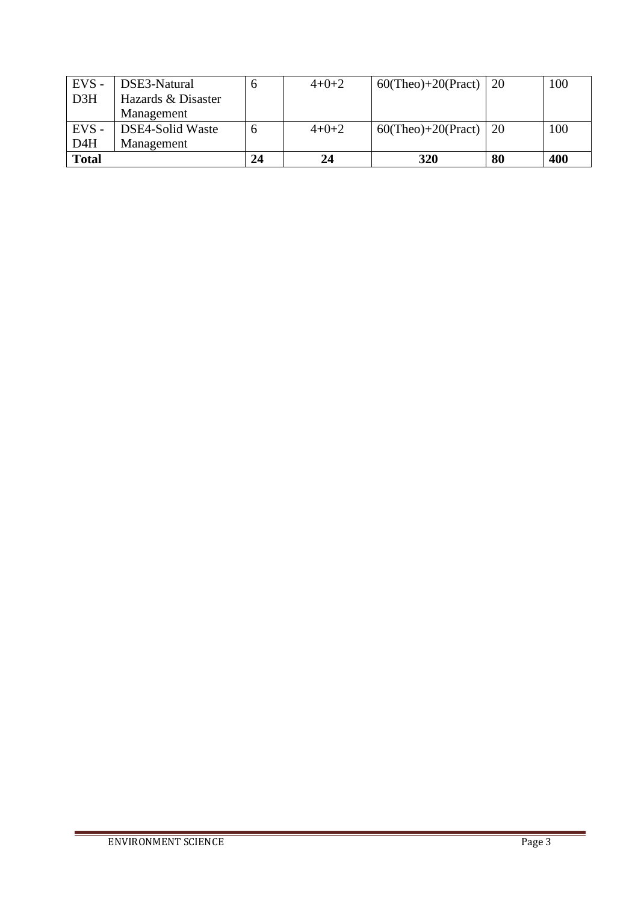| $EVS -$          | DSE3-Natural       |    | $4+0+2$ | 60(Theo)+20(Pract)   20 |    | 100 |
|------------------|--------------------|----|---------|-------------------------|----|-----|
| D <sub>3H</sub>  | Hazards & Disaster |    |         |                         |    |     |
|                  | Management         |    |         |                         |    |     |
| $EVS -$          | DSE4-Solid Waste   |    | $4+0+2$ | 60(Theo)+20(Pract)   20 |    | 100 |
| D <sub>4</sub> H | Management         |    |         |                         |    |     |
| <b>Total</b>     |                    | 24 | 24      | 320                     | 80 | 400 |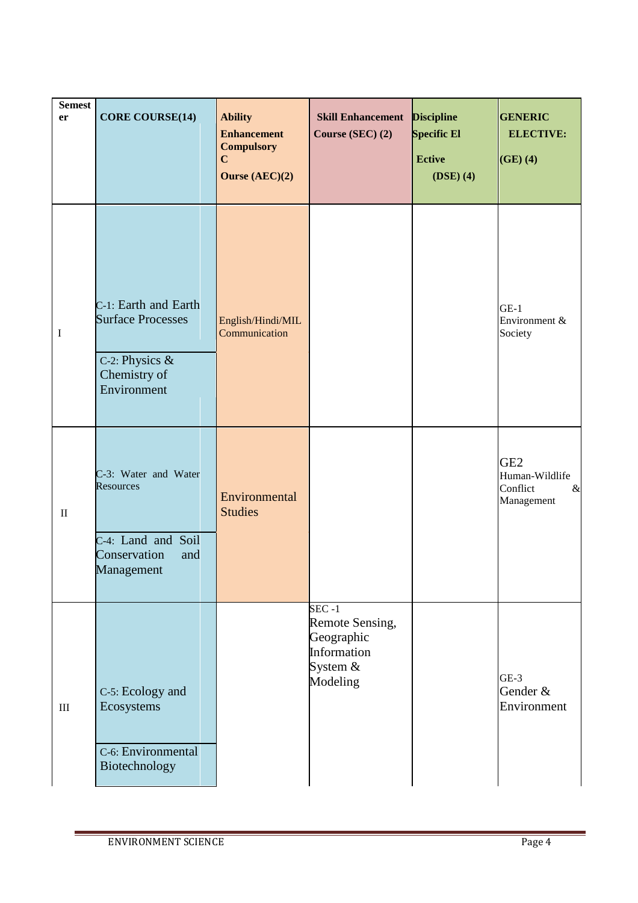| <b>Semest</b><br>er | <b>CORE COURSE(14)</b>                                                                            | <b>Ability</b><br><b>Enhancement</b><br><b>Compulsory</b><br>$\mathbf C$ | <b>Skill Enhancement</b><br>Course (SEC) (2)                                       | <b>Discipline</b><br><b>Specific El</b><br><b>Ective</b> | <b>GENERIC</b><br><b>ELECTIVE:</b><br>$(GE)$ $(4)$                  |
|---------------------|---------------------------------------------------------------------------------------------------|--------------------------------------------------------------------------|------------------------------------------------------------------------------------|----------------------------------------------------------|---------------------------------------------------------------------|
|                     |                                                                                                   | Ourse (AEC)(2)                                                           |                                                                                    | $(DSE)$ (4)                                              |                                                                     |
| $\bf I$             | C-1: Earth and Earth<br><b>Surface Processes</b><br>C-2: Physics &<br>Chemistry of<br>Environment | English/Hindi/MIL<br>Communication                                       |                                                                                    |                                                          | $GE-1$<br>Environment &<br>Society                                  |
| $\rm II$            | C-3: Water and Water<br>Resources<br>C-4: Land and Soil<br>Conservation<br>and<br>Management      | Environmental<br><b>Studies</b>                                          |                                                                                    |                                                          | GE <sub>2</sub><br>Human-Wildlife<br>Conflict<br>$\&$<br>Management |
| $\rm III$           | C-5: Ecology and<br>Ecosystems<br>C-6: Environmental<br>Biotechnology                             |                                                                          | $SEC -1$<br>Remote Sensing,<br>Geographic<br>Information<br>System $&$<br>Modeling |                                                          | $GE-3$<br>Gender &<br>Environment                                   |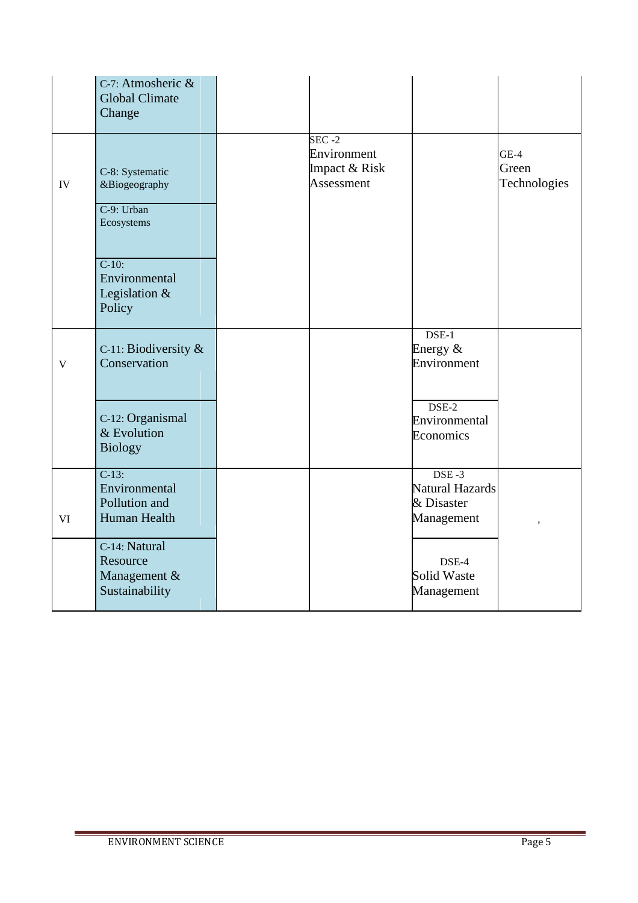|              | C-7: Atmosheric &<br><b>Global Climate</b><br>Change         |                                                         |                                                                            |                                 |
|--------------|--------------------------------------------------------------|---------------------------------------------------------|----------------------------------------------------------------------------|---------------------------------|
| ${\rm IV}$   | C-8: Systematic<br>&Biogeography<br>C-9: Urban<br>Ecosystems | $SEC - 2$<br>Environment<br>Impact & Risk<br>Assessment |                                                                            | $GE-4$<br>Green<br>Technologies |
|              | $C-10$ :<br>Environmental<br>Legislation $\&$<br>Policy      |                                                         |                                                                            |                                 |
| $\mathbf{V}$ | C-11: Biodiversity $\&$<br>Conservation                      |                                                         | $DSE-1$<br>Energy $&$<br>Environment                                       |                                 |
|              | C-12: Organismal<br>& Evolution<br><b>Biology</b>            |                                                         | $DSE-2$<br>Environmental<br>Economics                                      |                                 |
| VI           | $C-13:$<br>Environmental<br>Pollution and<br>Human Health    |                                                         | $\overline{\text{DSE}} - 3$<br>Natural Hazards<br>& Disaster<br>Management |                                 |
|              | C-14: Natural<br>Resource<br>Management &<br>Sustainability  |                                                         | DSE-4<br>Solid Waste<br>Management                                         |                                 |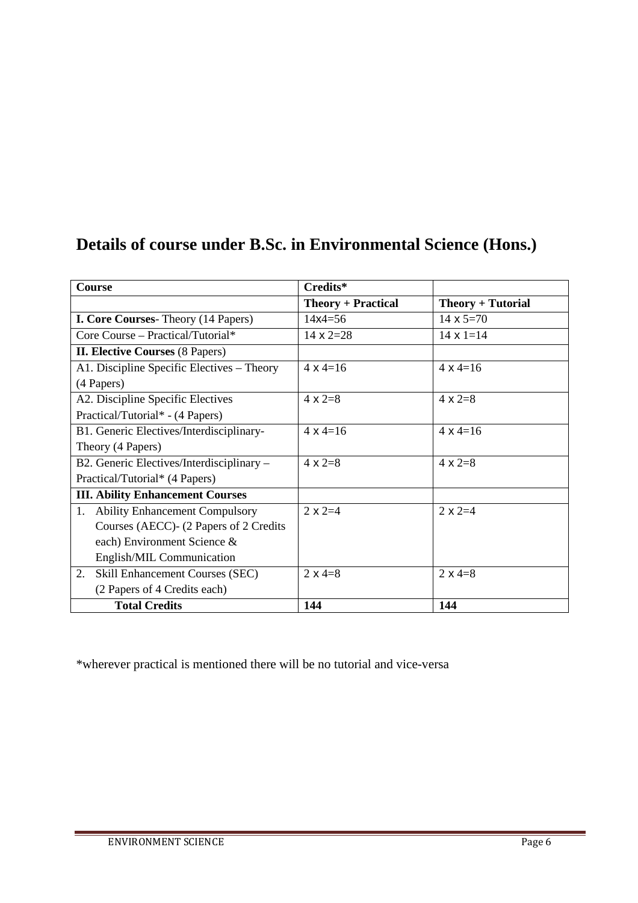| Course                                      | Credits*                  |                     |
|---------------------------------------------|---------------------------|---------------------|
|                                             | <b>Theory + Practical</b> | $Theory + Tutorial$ |
| <b>I. Core Courses-</b> Theory (14 Papers)  | $14x4 = 56$               | 14 $\times$ 5=70    |
| Core Course - Practical/Tutorial*           | $14 \times 2 = 28$        | $14 \times 1 = 14$  |
| <b>II. Elective Courses (8 Papers)</b>      |                           |                     |
| A1. Discipline Specific Electives – Theory  | $4 \times 4 = 16$         | $4 \times 4 = 16$   |
| (4 Papers)                                  |                           |                     |
| A2. Discipline Specific Electives           | $4 \times 2=8$            | $4 \times 2=8$      |
| Practical/Tutorial* - (4 Papers)            |                           |                     |
| B1. Generic Electives/Interdisciplinary-    | $4 \times 4 = 16$         | $4 \times 4 = 16$   |
| Theory (4 Papers)                           |                           |                     |
| B2. Generic Electives/Interdisciplinary -   | $4 \times 2=8$            | $4 \times 2=8$      |
| Practical/Tutorial* (4 Papers)              |                           |                     |
| <b>III. Ability Enhancement Courses</b>     |                           |                     |
| <b>Ability Enhancement Compulsory</b><br>1. | $2 \times 2 = 4$          | $2 \times 2 = 4$    |
| Courses (AECC) - (2 Papers of 2 Credits     |                           |                     |
| each) Environment Science &                 |                           |                     |
| English/MIL Communication                   |                           |                     |
| Skill Enhancement Courses (SEC)<br>2.       | $2 \times 4 = 8$          | $2 \times 4 = 8$    |
| (2 Papers of 4 Credits each)                |                           |                     |
| <b>Total Credits</b>                        | 144                       | 144                 |

# **Details of course under B.Sc. in Environmental Science (Hons.)**

\*wherever practical is mentioned there will be no tutorial and vice-versa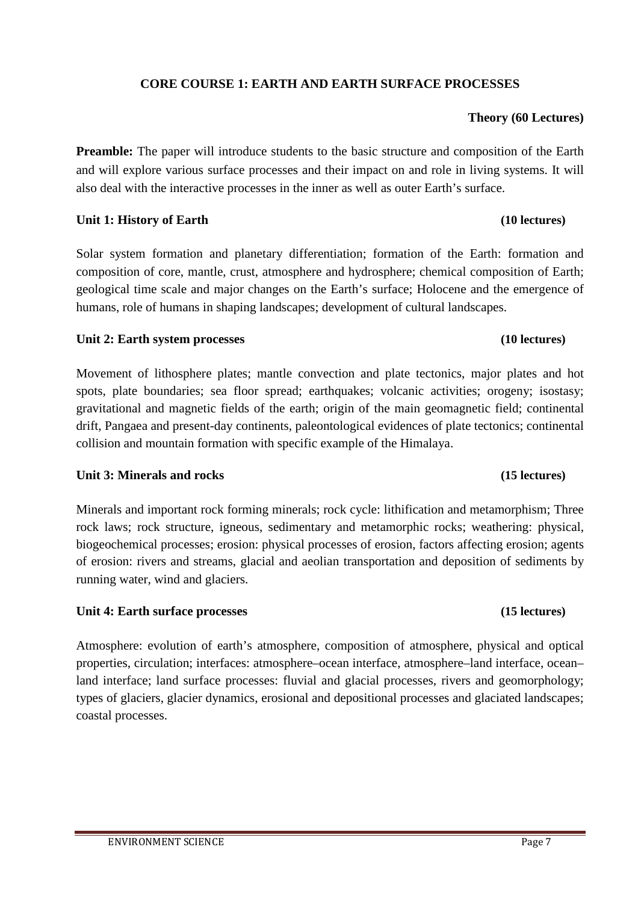# **CORE COURSE 1: EARTH AND EARTH SURFACE PROCESSES**

# **Theory (60 Lectures)**

**Preamble:** The paper will introduce students to the basic structure and composition of the Earth and will explore various surface processes and their impact on and role in living systems. It will also deal with the interactive processes in the inner as well as outer Earth's surface.

# Unit 1: History of Earth **(10 lectures) (10 lectures)**

Solar system formation and planetary differentiation; formation of the Earth: formation and composition of core, mantle, crust, atmosphere and hydrosphere; chemical composition of Earth; geological time scale and major changes on the Earth's surface; Holocene and the emergence of humans, role of humans in shaping landscapes; development of cultural landscapes.

# **Unit 2: Earth system processes (10 lectures)**

Movement of lithosphere plates; mantle convection and plate tectonics, major plates and hot spots, plate boundaries; sea floor spread; earthquakes; volcanic activities; orogeny; isostasy; gravitational and magnetic fields of the earth; origin of the main geomagnetic field; continental drift, Pangaea and present-day continents, paleontological evidences of plate tectonics; continental collision and mountain formation with specific example of the Himalaya.

# **Unit 3: Minerals and rocks (15 lectures)**

Minerals and important rock forming minerals; rock cycle: lithification and metamorphism; Three rock laws; rock structure, igneous, sedimentary and metamorphic rocks; weathering: physical, biogeochemical processes; erosion: physical processes of erosion, factors affecting erosion; agents of erosion: rivers and streams, glacial and aeolian transportation and deposition of sediments by running water, wind and glaciers.

# **Unit 4: Earth surface processes (15 lectures)**

Atmosphere: evolution of earth's atmosphere, composition of atmosphere, physical and optical properties, circulation; interfaces: atmosphere–ocean interface, atmosphere–land interface, ocean– land interface; land surface processes: fluvial and glacial processes, rivers and geomorphology; types of glaciers, glacier dynamics, erosional and depositional processes and glaciated landscapes; coastal processes.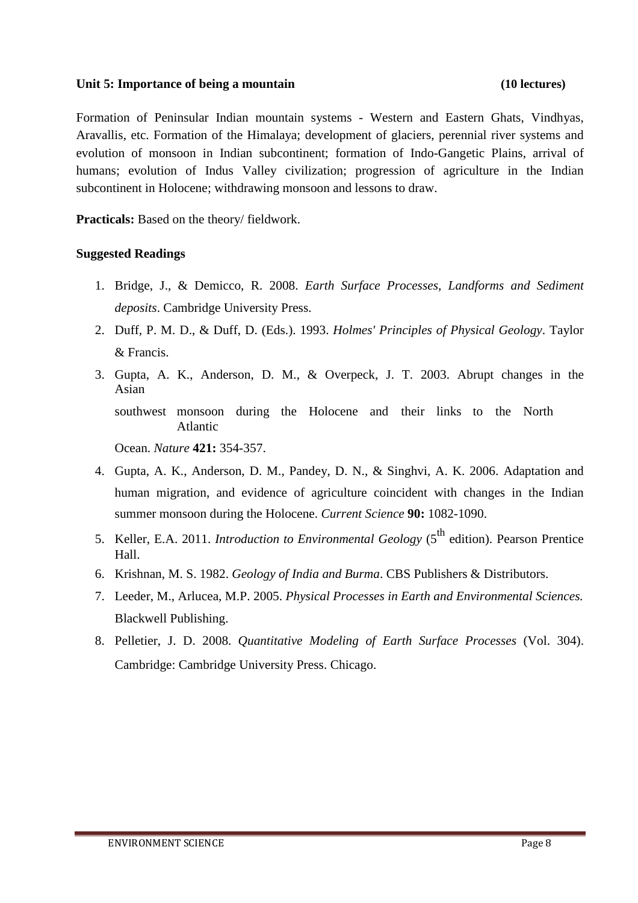### **Unit 5: Importance of being a mountain (10 lectures)**

Formation of Peninsular Indian mountain systems - Western and Eastern Ghats, Vindhyas, Aravallis, etc. Formation of the Himalaya; development of glaciers, perennial river systems and evolution of monsoon in Indian subcontinent; formation of Indo-Gangetic Plains, arrival of humans; evolution of Indus Valley civilization; progression of agriculture in the Indian subcontinent in Holocene; withdrawing monsoon and lessons to draw.

**Practicals:** Based on the theory/ fieldwork.

- 1. Bridge, J., & Demicco, R. 2008. *Earth Surface Processes, Landforms and Sediment deposits*. Cambridge University Press.
- 2. Duff, P. M. D., & Duff, D. (Eds.). 1993. *Holmes' Principles of Physical Geology*. Taylor & Francis.
- 3. Gupta, A. K., Anderson, D. M., & Overpeck, J. T. 2003. Abrupt changes in the Asian southwest monsoon during the Holocene and their links to the North Atlantic Ocean. *Nature* **421:** 354-357.
- 4. Gupta, A. K., Anderson, D. M., Pandey, D. N., & Singhvi, A. K. 2006. Adaptation and human migration, and evidence of agriculture coincident with changes in the Indian summer monsoon during the Holocene. *Current Science* **90:** 1082-1090.
- 5. Keller, E.A. 2011. *Introduction to Environmental Geology* (5<sup>th</sup> edition). Pearson Prentice Hall.
- 6. Krishnan, M. S. 1982. *Geology of India and Burma*. CBS Publishers & Distributors.
- 7. Leeder, M., Arlucea, M.P. 2005. *Physical Processes in Earth and Environmental Sciences.* Blackwell Publishing.
- 8. Pelletier, J. D. 2008. *Quantitative Modeling of Earth Surface Processes* (Vol. 304). Cambridge: Cambridge University Press. Chicago.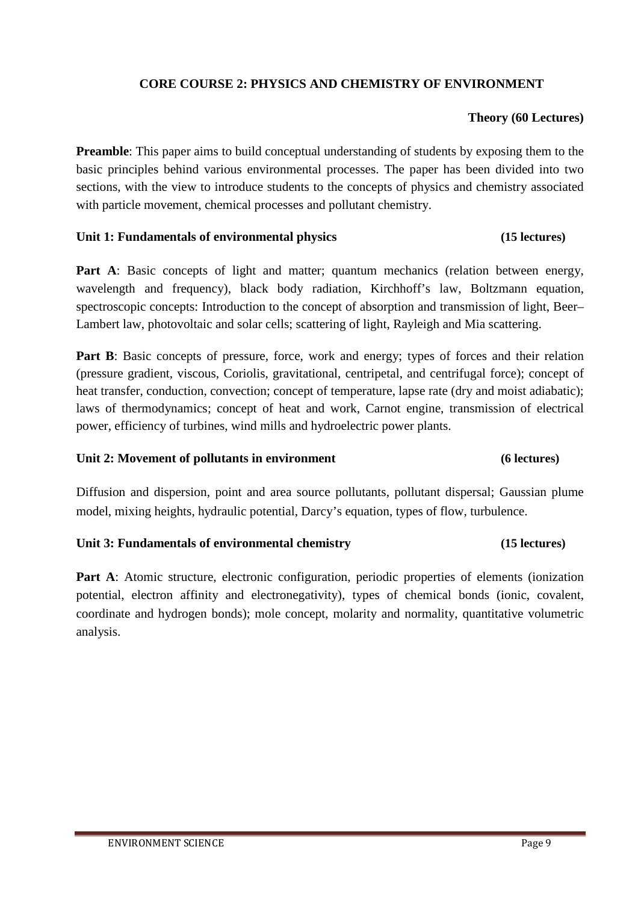# **CORE COURSE 2: PHYSICS AND CHEMISTRY OF ENVIRONMENT**

# **Theory (60 Lectures)**

**Preamble**: This paper aims to build conceptual understanding of students by exposing them to the basic principles behind various environmental processes. The paper has been divided into two sections, with the view to introduce students to the concepts of physics and chemistry associated with particle movement, chemical processes and pollutant chemistry.

### **Unit 1: Fundamentals of environmental physics (15 lectures)**

Part A: Basic concepts of light and matter; quantum mechanics (relation between energy, wavelength and frequency), black body radiation, Kirchhoff's law, Boltzmann equation, spectroscopic concepts: Introduction to the concept of absorption and transmission of light, Beer– Lambert law, photovoltaic and solar cells; scattering of light, Rayleigh and Mia scattering.

**Part B**: Basic concepts of pressure, force, work and energy; types of forces and their relation (pressure gradient, viscous, Coriolis, gravitational, centripetal, and centrifugal force); concept of heat transfer, conduction, convection; concept of temperature, lapse rate (dry and moist adiabatic); laws of thermodynamics; concept of heat and work, Carnot engine, transmission of electrical power, efficiency of turbines, wind mills and hydroelectric power plants.

# **Unit 2: Movement of pollutants in environment (6 lectures)**

Diffusion and dispersion, point and area source pollutants, pollutant dispersal; Gaussian plume model, mixing heights, hydraulic potential, Darcy's equation, types of flow, turbulence.

# **Unit 3: Fundamentals of environmental chemistry (15 lectures)**

**Part A**: Atomic structure, electronic configuration, periodic properties of elements (ionization potential, electron affinity and electronegativity), types of chemical bonds (ionic, covalent, coordinate and hydrogen bonds); mole concept, molarity and normality, quantitative volumetric analysis.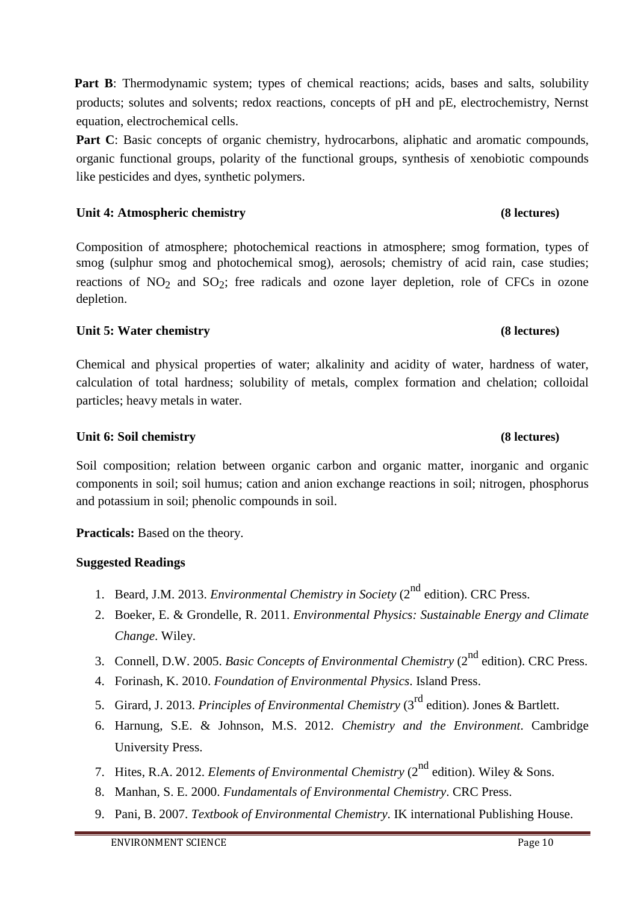**Part B**: Thermodynamic system; types of chemical reactions; acids, bases and salts, solubility products; solutes and solvents; redox reactions, concepts of pH and pE, electrochemistry, Nernst equation, electrochemical cells.

**Part C**: Basic concepts of organic chemistry, hydrocarbons, aliphatic and aromatic compounds, organic functional groups, polarity of the functional groups, synthesis of xenobiotic compounds like pesticides and dyes, synthetic polymers.

# **Unit 4: Atmospheric chemistry (8 lectures)**

Composition of atmosphere; photochemical reactions in atmosphere; smog formation, types of smog (sulphur smog and photochemical smog), aerosols; chemistry of acid rain, case studies; reactions of  $NO<sub>2</sub>$  and  $SO<sub>2</sub>$ ; free radicals and ozone layer depletion, role of CFCs in ozone depletion.

# **Unit 5: Water chemistry (8 lectures)**

Chemical and physical properties of water; alkalinity and acidity of water, hardness of water, calculation of total hardness; solubility of metals, complex formation and chelation; colloidal particles; heavy metals in water.

# **Unit 6: Soil chemistry (8 lectures)**

Soil composition; relation between organic carbon and organic matter, inorganic and organic components in soil; soil humus; cation and anion exchange reactions in soil; nitrogen, phosphorus and potassium in soil; phenolic compounds in soil.

**Practicals:** Based on the theory.

- 1. Beard, J.M. 2013. *Environmental Chemistry in Society* (2<sup>nd</sup> edition). CRC Press.
- 2. Boeker, E. & Grondelle, R. 2011. *Environmental Physics: Sustainable Energy and Climate Change*. Wiley.
- 3. Connell, D.W. 2005. *Basic Concepts of Environmental Chemistry* (2<sup>nd</sup> edition). CRC Press.
- 4. Forinash, K. 2010. *Foundation of Environmental Physics*. Island Press.
- 5. Girard, J. 2013. *Principles of Environmental Chemistry* (3rd edition). Jones & Bartlett.
- 6. Harnung, S.E. & Johnson, M.S. 2012. *Chemistry and the Environment*. Cambridge University Press.
- 7. Hites, R.A. 2012. *Elements of Environmental Chemistry* (2<sup>nd</sup> edition). Wiley & Sons.
- 8. Manhan, S. E. 2000. *Fundamentals of Environmental Chemistry*. CRC Press.
- 9. Pani, B. 2007. *Textbook of Environmental Chemistry*. IK international Publishing House.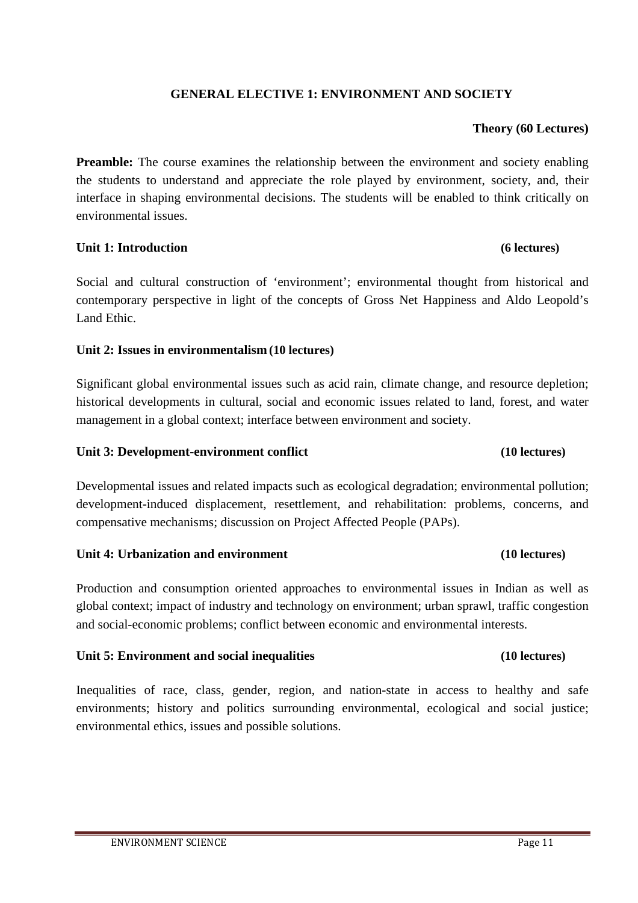# **GENERAL ELECTIVE 1: ENVIRONMENT AND SOCIETY**

# **Theory (60 Lectures)**

**Preamble:** The course examines the relationship between the environment and society enabling the students to understand and appreciate the role played by environment, society, and, their interface in shaping environmental decisions. The students will be enabled to think critically on environmental issues.

# **Unit 1: Introduction (6 lectures)**

Social and cultural construction of 'environment'; environmental thought from historical and contemporary perspective in light of the concepts of Gross Net Happiness and Aldo Leopold's Land Ethic.

# **Unit 2: Issues in environmentalism (10 lectures)**

Significant global environmental issues such as acid rain, climate change, and resource depletion; historical developments in cultural, social and economic issues related to land, forest, and water management in a global context; interface between environment and society.

### **Unit 3: Development-environment conflict (10 lectures)**

Developmental issues and related impacts such as ecological degradation; environmental pollution; development-induced displacement, resettlement, and rehabilitation: problems, concerns, and compensative mechanisms; discussion on Project Affected People (PAPs).

### **Unit 4: Urbanization and environment (10 lectures)**

Production and consumption oriented approaches to environmental issues in Indian as well as global context; impact of industry and technology on environment; urban sprawl, traffic congestion and social-economic problems; conflict between economic and environmental interests.

# **Unit 5: Environment and social inequalities (10 lectures)**

Inequalities of race, class, gender, region, and nation-state in access to healthy and safe environments; history and politics surrounding environmental, ecological and social justice; environmental ethics, issues and possible solutions.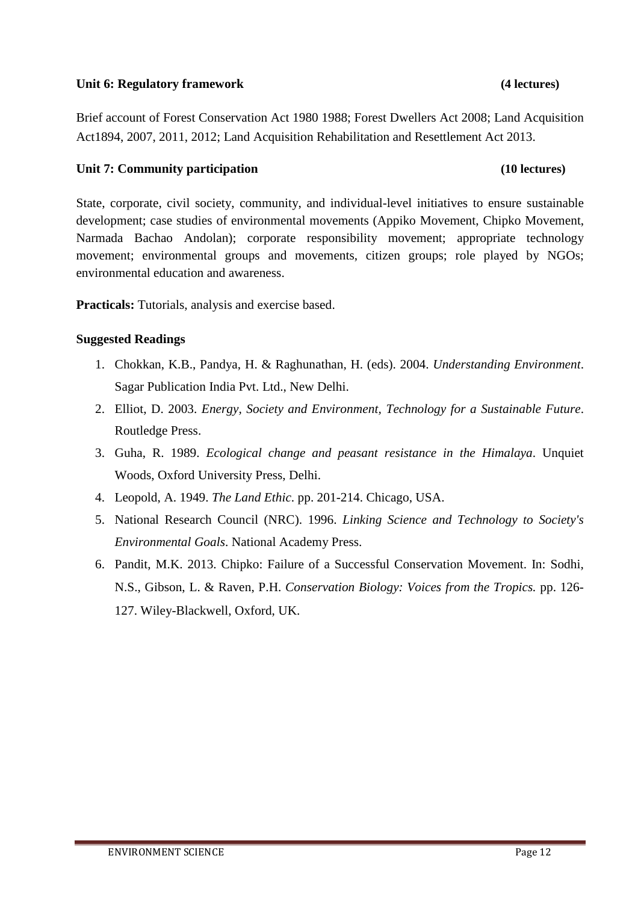# **Unit 6: Regulatory framework (4 lectures)**

Brief account of Forest Conservation Act 1980 1988; Forest Dwellers Act 2008; Land Acquisition Act1894, 2007, 2011, 2012; Land Acquisition Rehabilitation and Resettlement Act 2013.

# **Unit 7: Community participation (10 lectures)**

State, corporate, civil society, community, and individual-level initiatives to ensure sustainable development; case studies of environmental movements (Appiko Movement, Chipko Movement, Narmada Bachao Andolan); corporate responsibility movement; appropriate technology movement; environmental groups and movements, citizen groups; role played by NGOs; environmental education and awareness.

**Practicals:** Tutorials, analysis and exercise based.

- 1. Chokkan, K.B., Pandya, H. & Raghunathan, H. (eds). 2004. *Understanding Environment*. Sagar Publication India Pvt. Ltd., New Delhi.
- 2. Elliot, D. 2003. *Energy, Society and Environment, Technology for a Sustainable Future*. Routledge Press.
- 3. Guha, R. 1989. *Ecological change and peasant resistance in the Himalaya*. Unquiet Woods, Oxford University Press, Delhi.
- 4. Leopold, A. 1949. *The Land Ethic*. pp. 201-214. Chicago, USA.
- 5. National Research Council (NRC). 1996. *Linking Science and Technology to Society's Environmental Goals*. National Academy Press.
- 6. Pandit, M.K. 2013. Chipko: Failure of a Successful Conservation Movement. In: Sodhi, N.S., Gibson, L. & Raven, P.H. *Conservation Biology: Voices from the Tropics.* pp. 126- 127. Wiley-Blackwell, Oxford, UK.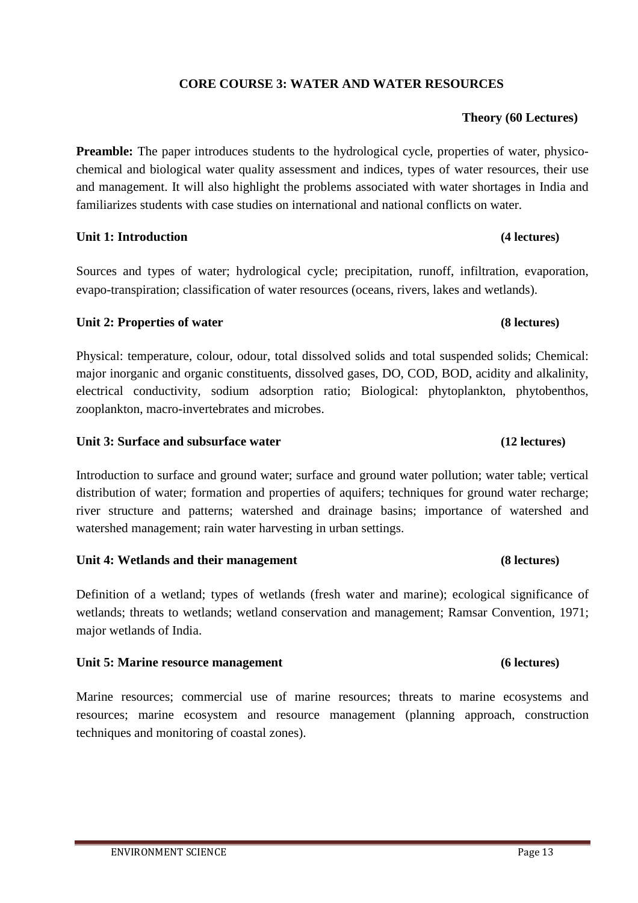# **CORE COURSE 3: WATER AND WATER RESOURCES**

# **Theory (60 Lectures)**

**Preamble:** The paper introduces students to the hydrological cycle, properties of water, physicochemical and biological water quality assessment and indices, types of water resources, their use and management. It will also highlight the problems associated with water shortages in India and familiarizes students with case studies on international and national conflicts on water.

### **Unit 1: Introduction (4 lectures)**

Sources and types of water; hydrological cycle; precipitation, runoff, infiltration, evaporation, evapo-transpiration; classification of water resources (oceans, rivers, lakes and wetlands).

# Unit 2: Properties of water **(8)** lectures)

Physical: temperature, colour, odour, total dissolved solids and total suspended solids; Chemical: major inorganic and organic constituents, dissolved gases, DO, COD, BOD, acidity and alkalinity, electrical conductivity, sodium adsorption ratio; Biological: phytoplankton, phytobenthos, zooplankton, macro-invertebrates and microbes.

### **Unit 3: Surface and subsurface water (12 lectures)**

Introduction to surface and ground water; surface and ground water pollution; water table; vertical distribution of water; formation and properties of aquifers; techniques for ground water recharge; river structure and patterns; watershed and drainage basins; importance of watershed and watershed management; rain water harvesting in urban settings.

### **Unit 4: Wetlands and their management (8 lectures)**

Definition of a wetland; types of wetlands (fresh water and marine); ecological significance of wetlands; threats to wetlands; wetland conservation and management; Ramsar Convention, 1971; major wetlands of India.

### **Unit 5: Marine resource management (6 lectures)**

Marine resources; commercial use of marine resources; threats to marine ecosystems and resources; marine ecosystem and resource management (planning approach, construction techniques and monitoring of coastal zones).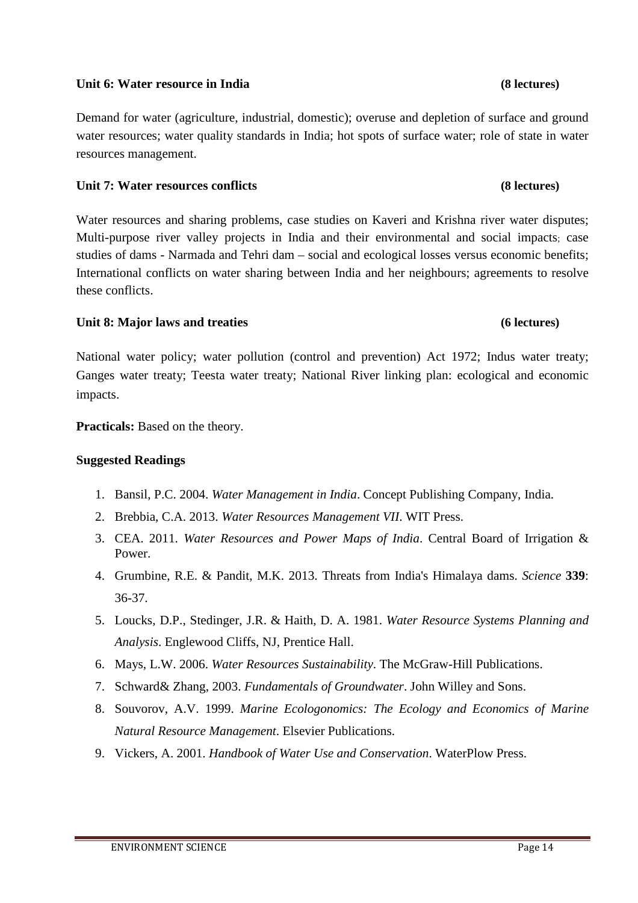# **Unit 6: Water resource in India (8 lectures)**

Demand for water (agriculture, industrial, domestic); overuse and depletion of surface and ground water resources; water quality standards in India; hot spots of surface water; role of state in water resources management.

# **Unit 7: Water resources conflicts (8 lectures)**

Water resources and sharing problems, case studies on Kaveri and Krishna river water disputes; Multi-purpose river valley projects in India and their environmental and social impacts; case studies of dams - Narmada and Tehri dam – social and ecological losses versus economic benefits; International conflicts on water sharing between India and her neighbours; agreements to resolve these conflicts.

# **Unit 8: Major laws and treaties (6 lectures)**

National water policy; water pollution (control and prevention) Act 1972; Indus water treaty; Ganges water treaty; Teesta water treaty; National River linking plan: ecological and economic impacts.

**Practicals:** Based on the theory.

- 1. Bansil, P.C. 2004. *Water Management in India*. Concept Publishing Company, India.
- 2. Brebbia, C.A. 2013. *Water Resources Management VII*. WIT Press.
- 3. CEA. 2011. *Water Resources and Power Maps of India*. Central Board of Irrigation & Power.
- 4. Grumbine, R.E. & Pandit, M.K. 2013. Threats from India's Himalaya dams. *Science* **339**: 36-37.
- 5. Loucks, D.P., Stedinger, J.R. & Haith, D. A. 1981. *Water Resource Systems Planning and Analysis*. Englewood Cliffs, NJ, Prentice Hall.
- 6. Mays, L.W. 2006. *Water Resources Sustainability*. The McGraw-Hill Publications.
- 7. Schward& Zhang, 2003. *Fundamentals of Groundwater*. John Willey and Sons.
- 8. Souvorov, A.V. 1999. *Marine Ecologonomics: The Ecology and Economics of Marine Natural Resource Management*. Elsevier Publications.
- 9. Vickers, A. 2001. *Handbook of Water Use and Conservation*. WaterPlow Press.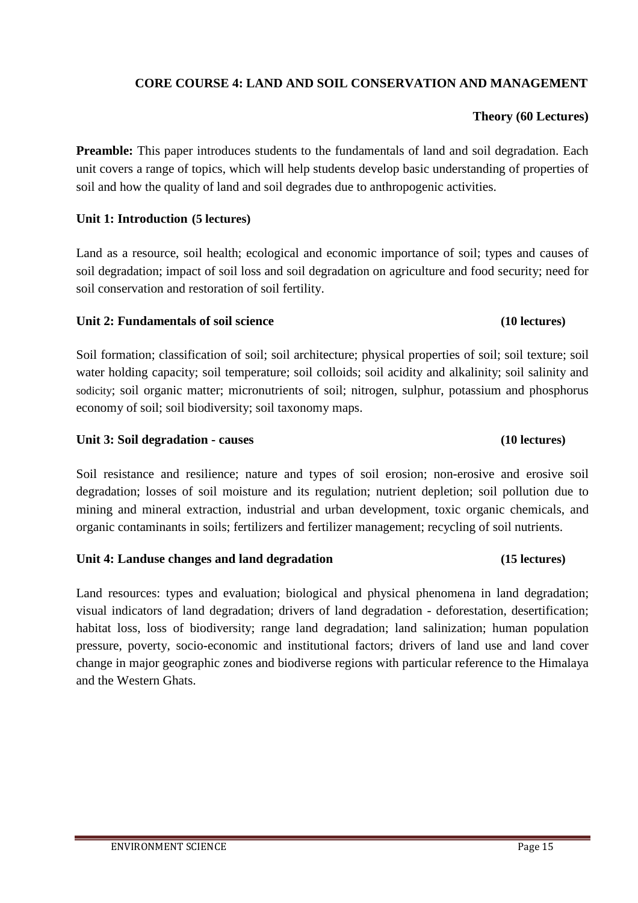# **CORE COURSE 4: LAND AND SOIL CONSERVATION AND MANAGEMENT**

# **Theory (60 Lectures)**

**Preamble:** This paper introduces students to the fundamentals of land and soil degradation. Each unit covers a range of topics, which will help students develop basic understanding of properties of soil and how the quality of land and soil degrades due to anthropogenic activities.

# **Unit 1: Introduction (5 lectures)**

Land as a resource, soil health; ecological and economic importance of soil; types and causes of soil degradation; impact of soil loss and soil degradation on agriculture and food security; need for soil conservation and restoration of soil fertility.

### **Unit 2: Fundamentals of soil science (10 lectures)**

Soil formation; classification of soil; soil architecture; physical properties of soil; soil texture; soil water holding capacity; soil temperature; soil colloids; soil acidity and alkalinity; soil salinity and sodicity; soil organic matter; micronutrients of soil; nitrogen, sulphur, potassium and phosphorus economy of soil; soil biodiversity; soil taxonomy maps.

### **Unit 3: Soil degradation - causes (10 lectures)**

Soil resistance and resilience; nature and types of soil erosion; non-erosive and erosive soil degradation; losses of soil moisture and its regulation; nutrient depletion; soil pollution due to mining and mineral extraction, industrial and urban development, toxic organic chemicals, and organic contaminants in soils; fertilizers and fertilizer management; recycling of soil nutrients.

### **Unit 4: Landuse changes and land degradation (15 lectures)**

Land resources: types and evaluation; biological and physical phenomena in land degradation; visual indicators of land degradation; drivers of land degradation - deforestation, desertification; habitat loss, loss of biodiversity; range land degradation; land salinization; human population pressure, poverty, socio-economic and institutional factors; drivers of land use and land cover change in major geographic zones and biodiverse regions with particular reference to the Himalaya and the Western Ghats.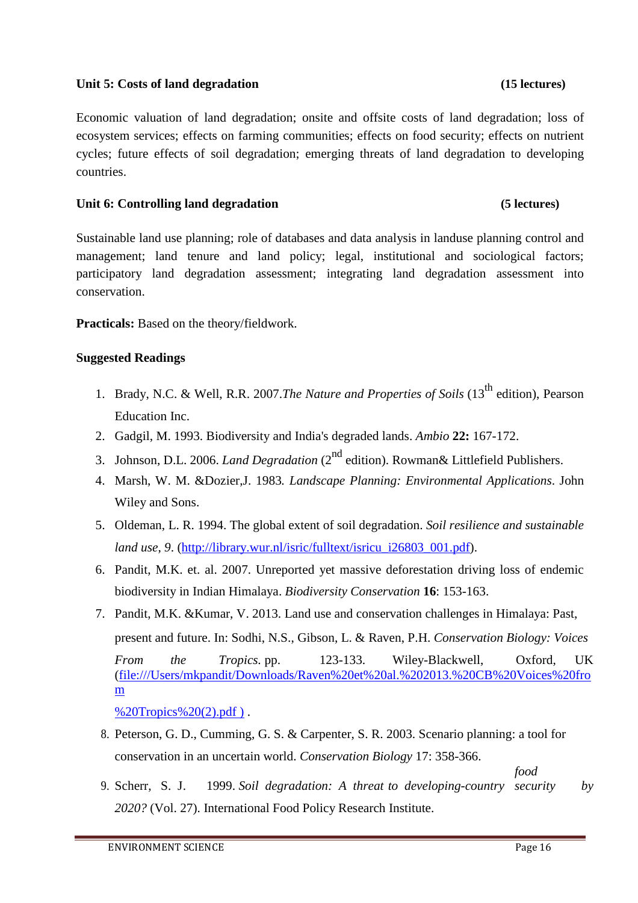# Unit 5: Costs of land degradation **(15)** (15 lectures)

Economic valuation of land degradation; onsite and offsite costs of land degradation; loss of ecosystem services; effects on farming communities; effects on food security; effects on nutrient cycles; future effects of soil degradation; emerging threats of land degradation to developing countries.

# **Unit 6: Controlling land degradation (5 lectures)**

Sustainable land use planning; role of databases and data analysis in landuse planning control and management; land tenure and land policy; legal, institutional and sociological factors; participatory land degradation assessment; integrating land degradation assessment into conservation.

**Practicals:** Based on the theory/fieldwork.

# **Suggested Readings**

- 1. Brady, N.C. & Well, R.R. 2007.*The Nature and Properties of Soils* (13<sup>th</sup> edition), Pearson Education Inc.
- 2. Gadgil, M. 1993. Biodiversity and India's degraded lands. *Ambio* **22:** 167-172.
- 3. Johnson, D.L. 2006. *Land Degradation* (2<sup>nd</sup> edition). Rowman& Littlefield Publishers.
- 4. Marsh, W. M. &Dozier,J. 1983*. Landscape Planning: Environmental Applications*. John Wiley and Sons.
- 5. Oldeman, L. R. 1994. The global extent of soil degradation. *Soil resilience and sustainable land use*, 9. (http://library.wur.nl/isric/fulltext/isricu\_i26803\_001.pdf).
- 6. Pandit, M.K. et. al. 2007. Unreported yet massive deforestation driving loss of endemic biodiversity in Indian Himalaya. *Biodiversity Conservation* **16**: 153-163.
- 7. Pandit, M.K. &Kumar, V. 2013. Land use and conservation challenges in Himalaya: Past, present and future. In: Sodhi, N.S., Gibson, L. & Raven, P.H. *Conservation Biology: Voices From the Tropics.* pp. 123-133. Wiley-Blackwell, Oxford, UK (file:///Users/mkpandit/Downloads/Raven%20et%20al.%202013.%20CB%20Voices%20fro m

%20Tropics%20(2).pdf).

8. Peterson, G. D., Cumming, G. S. & Carpenter, S. R. 2003. Scenario planning: a tool for conservation in an uncertain world. *Conservation Biology* 17: 358-366.

*food* 

9. Scherr, S. J. 1999. *Soil degradation: A threat to developing-country security by 2020?* (Vol. 27). International Food Policy Research Institute.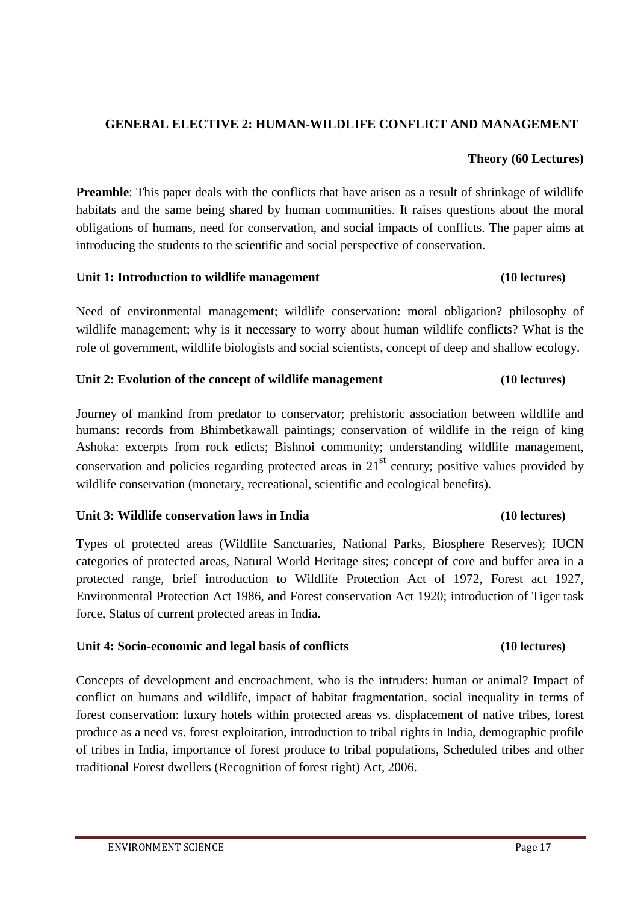# **GENERAL ELECTIVE 2: HUMAN-WILDLIFE CONFLICT AND MANAGEMENT**

### **Theory (60 Lectures)**

**Preamble**: This paper deals with the conflicts that have arisen as a result of shrinkage of wildlife habitats and the same being shared by human communities. It raises questions about the moral obligations of humans, need for conservation, and social impacts of conflicts. The paper aims at introducing the students to the scientific and social perspective of conservation.

### **Unit 1: Introduction to wildlife management (10 lectures)**

Need of environmental management; wildlife conservation: moral obligation? philosophy of wildlife management; why is it necessary to worry about human wildlife conflicts? What is the role of government, wildlife biologists and social scientists, concept of deep and shallow ecology.

# **Unit 2: Evolution of the concept of wildlife management (10 lectures)**

Journey of mankind from predator to conservator; prehistoric association between wildlife and humans: records from Bhimbetkawall paintings; conservation of wildlife in the reign of king Ashoka: excerpts from rock edicts; Bishnoi community; understanding wildlife management, conservation and policies regarding protected areas in  $21<sup>st</sup>$  century; positive values provided by wildlife conservation (monetary, recreational, scientific and ecological benefits).

# **Unit 3: Wildlife conservation laws in India (10 lectures)**

Types of protected areas (Wildlife Sanctuaries, National Parks, Biosphere Reserves); IUCN categories of protected areas, Natural World Heritage sites; concept of core and buffer area in a protected range, brief introduction to Wildlife Protection Act of 1972, Forest act 1927, Environmental Protection Act 1986, and Forest conservation Act 1920; introduction of Tiger task force, Status of current protected areas in India.

# **Unit 4: Socio-economic and legal basis of conflicts (10 lectures)**

Concepts of development and encroachment, who is the intruders: human or animal? Impact of conflict on humans and wildlife, impact of habitat fragmentation, social inequality in terms of forest conservation: luxury hotels within protected areas vs. displacement of native tribes, forest produce as a need vs. forest exploitation, introduction to tribal rights in India, demographic profile of tribes in India, importance of forest produce to tribal populations, Scheduled tribes and other traditional Forest dwellers (Recognition of forest right) Act, 2006.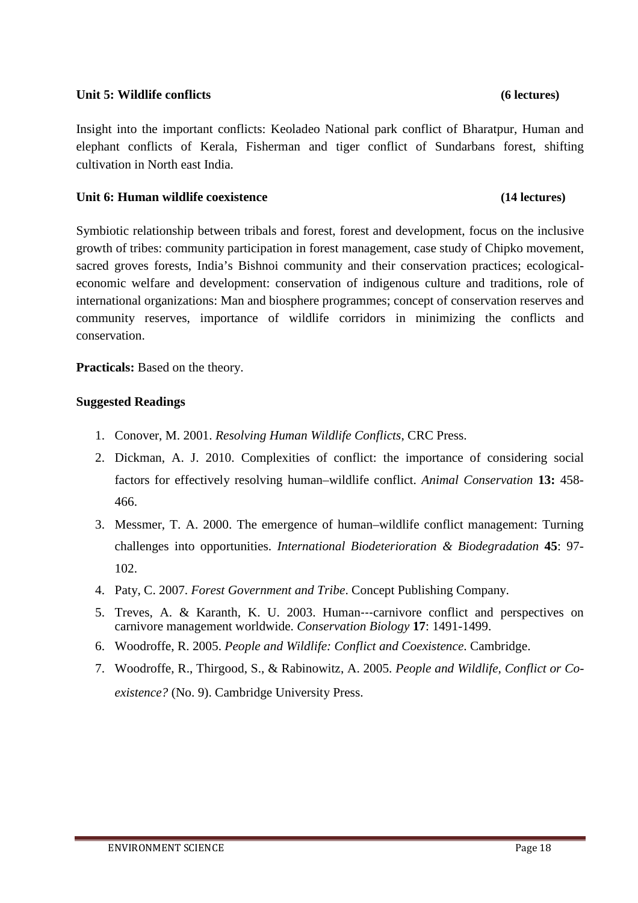# **Unit 5: Wildlife conflicts (6 lectures)**

Insight into the important conflicts: Keoladeo National park conflict of Bharatpur, Human and elephant conflicts of Kerala, Fisherman and tiger conflict of Sundarbans forest, shifting cultivation in North east India.

# **Unit 6: Human wildlife coexistence (14 lectures)**

# Symbiotic relationship between tribals and forest, forest and development, focus on the inclusive growth of tribes: community participation in forest management, case study of Chipko movement, sacred groves forests, India's Bishnoi community and their conservation practices; ecologicaleconomic welfare and development: conservation of indigenous culture and traditions, role of international organizations: Man and biosphere programmes; concept of conservation reserves and community reserves, importance of wildlife corridors in minimizing the conflicts and conservation.

**Practicals:** Based on the theory.

- 1. Conover, M. 2001. *Resolving Human Wildlife Conflicts*, CRC Press.
- 2. Dickman, A. J. 2010. Complexities of conflict: the importance of considering social factors for effectively resolving human–wildlife conflict. *Animal Conservation* **13:** 458- 466.
- 3. Messmer, T. A. 2000. The emergence of human–wildlife conflict management: Turning challenges into opportunities. *International Biodeterioration & Biodegradation* **45**: 97- 102.
- 4. Paty, C. 2007. *Forest Government and Tribe*. Concept Publishing Company.
- 5. Treves, A. & Karanth, K. U. 2003. Human---carnivore conflict and perspectives on carnivore management worldwide. *Conservation Biology* **17**: 1491-1499.
- 6. Woodroffe, R. 2005. *People and Wildlife: Conflict and Coexistence*. Cambridge.
- 7. Woodroffe, R., Thirgood, S., & Rabinowitz, A. 2005. *People and Wildlife, Conflict or Coexistence?* (No. 9). Cambridge University Press.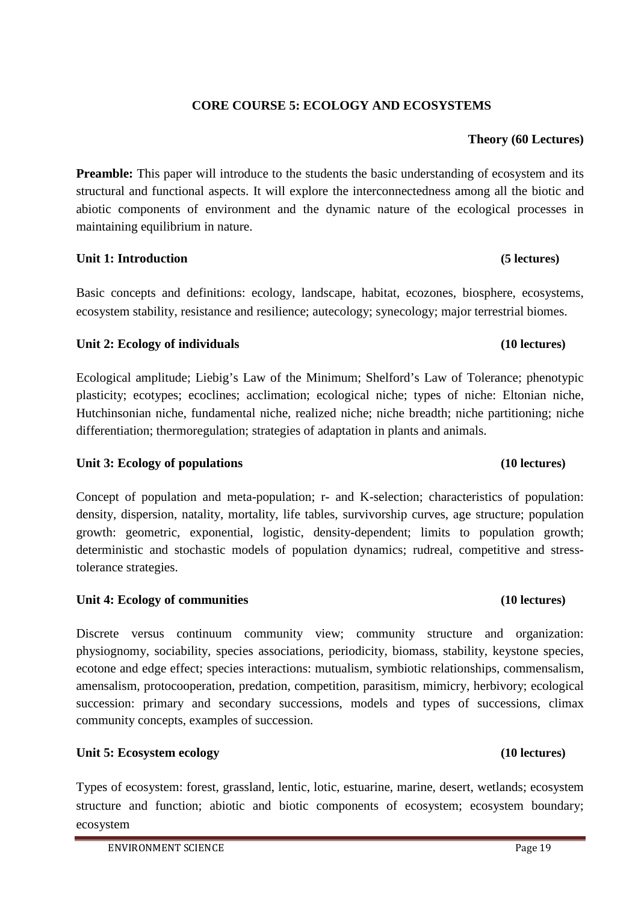# **CORE COURSE 5: ECOLOGY AND ECOSYSTEMS**

# **Theory (60 Lectures)**

Preamble: This paper will introduce to the students the basic understanding of ecosystem and its structural and functional aspects. It will explore the interconnectedness among all the biotic and abiotic components of environment and the dynamic nature of the ecological processes in maintaining equilibrium in nature.

### **Unit 1: Introduction (5 lectures)**

Basic concepts and definitions: ecology, landscape, habitat, ecozones, biosphere, ecosystems, ecosystem stability, resistance and resilience; autecology; synecology; major terrestrial biomes.

### **Unit 2: Ecology of individuals (10 lectures)**

Ecological amplitude; Liebig's Law of the Minimum; Shelford's Law of Tolerance; phenotypic plasticity; ecotypes; ecoclines; acclimation; ecological niche; types of niche: Eltonian niche, Hutchinsonian niche, fundamental niche, realized niche; niche breadth; niche partitioning; niche differentiation; thermoregulation; strategies of adaptation in plants and animals.

### Unit 3: Ecology of populations **(10 lectures)**

Concept of population and meta-population; r- and K-selection; characteristics of population: density, dispersion, natality, mortality, life tables, survivorship curves, age structure; population growth: geometric, exponential, logistic, density-dependent; limits to population growth; deterministic and stochastic models of population dynamics; rudreal, competitive and stresstolerance strategies.

# **Unit 4: Ecology of communities (10 lectures)**

Discrete versus continuum community view; community structure and organization: physiognomy, sociability, species associations, periodicity, biomass, stability, keystone species, ecotone and edge effect; species interactions: mutualism, symbiotic relationships, commensalism, amensalism, protocooperation, predation, competition, parasitism, mimicry, herbivory; ecological succession: primary and secondary successions, models and types of successions, climax community concepts, examples of succession.

# Unit 5: Ecosystem ecology **being the set of the set of the set of the set of the set of the set of the set of the set of the set of the set of the set of the set of the set of the set of the set of the set of the set of th**

Types of ecosystem: forest, grassland, lentic, lotic, estuarine, marine, desert, wetlands; ecosystem structure and function; abiotic and biotic components of ecosystem; ecosystem boundary; ecosystem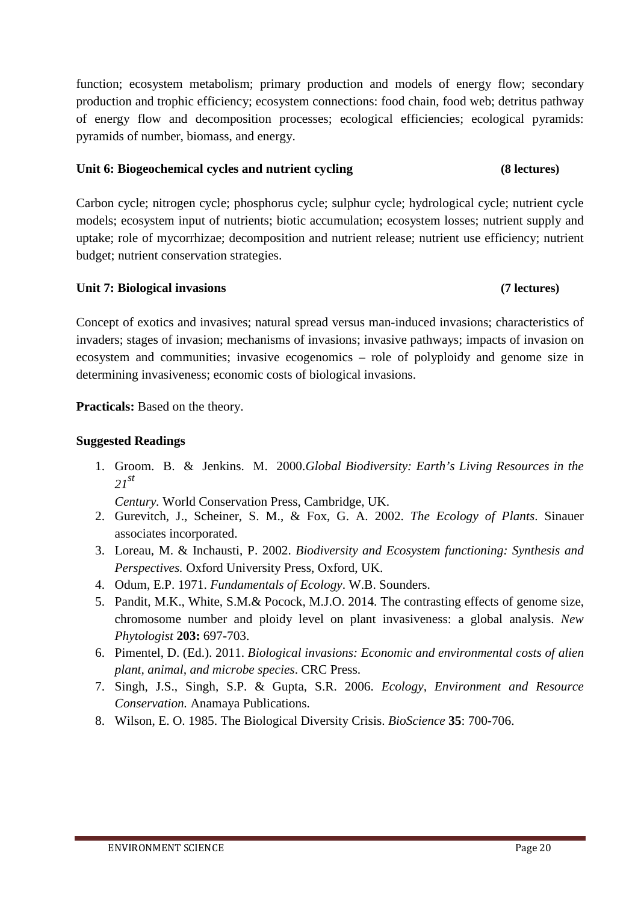function; ecosystem metabolism; primary production and models of energy flow; secondary production and trophic efficiency; ecosystem connections: food chain, food web; detritus pathway of energy flow and decomposition processes; ecological efficiencies; ecological pyramids: pyramids of number, biomass, and energy.

# **Unit 6: Biogeochemical cycles and nutrient cycling (8 lectures)**

Carbon cycle; nitrogen cycle; phosphorus cycle; sulphur cycle; hydrological cycle; nutrient cycle models; ecosystem input of nutrients; biotic accumulation; ecosystem losses; nutrient supply and uptake; role of mycorrhizae; decomposition and nutrient release; nutrient use efficiency; nutrient budget; nutrient conservation strategies.

# **Unit 7: Biological invasions (7 lectures)**

Concept of exotics and invasives; natural spread versus man-induced invasions; characteristics of invaders; stages of invasion; mechanisms of invasions; invasive pathways; impacts of invasion on ecosystem and communities; invasive ecogenomics – role of polyploidy and genome size in determining invasiveness; economic costs of biological invasions.

**Practicals:** Based on the theory.

# **Suggested Readings**

1. Groom. B. & Jenkins. M. 2000.*Global Biodiversity: Earth's Living Resources in the <sup>21</sup>st*

*Century.* World Conservation Press, Cambridge, UK.

- 2. Gurevitch, J., Scheiner, S. M., & Fox, G. A. 2002. *The Ecology of Plants*. Sinauer associates incorporated.
- 3. Loreau, M. & Inchausti, P. 2002. *Biodiversity and Ecosystem functioning: Synthesis and Perspectives.* Oxford University Press, Oxford, UK.
- 4. Odum, E.P. 1971. *Fundamentals of Ecology*. W.B. Sounders.
- 5. Pandit, M.K., White, S.M.& Pocock, M.J.O. 2014. The contrasting effects of genome size, chromosome number and ploidy level on plant invasiveness: a global analysis. *New Phytologist* **203:** 697-703.
- 6. Pimentel, D. (Ed.). 2011. *Biological invasions: Economic and environmental costs of alien plant, animal, and microbe species*. CRC Press.
- 7. Singh, J.S., Singh, S.P. & Gupta, S.R. 2006. *Ecology, Environment and Resource Conservation.* Anamaya Publications.
- 8. Wilson, E. O. 1985. The Biological Diversity Crisis. *BioScience* **35**: 700-706.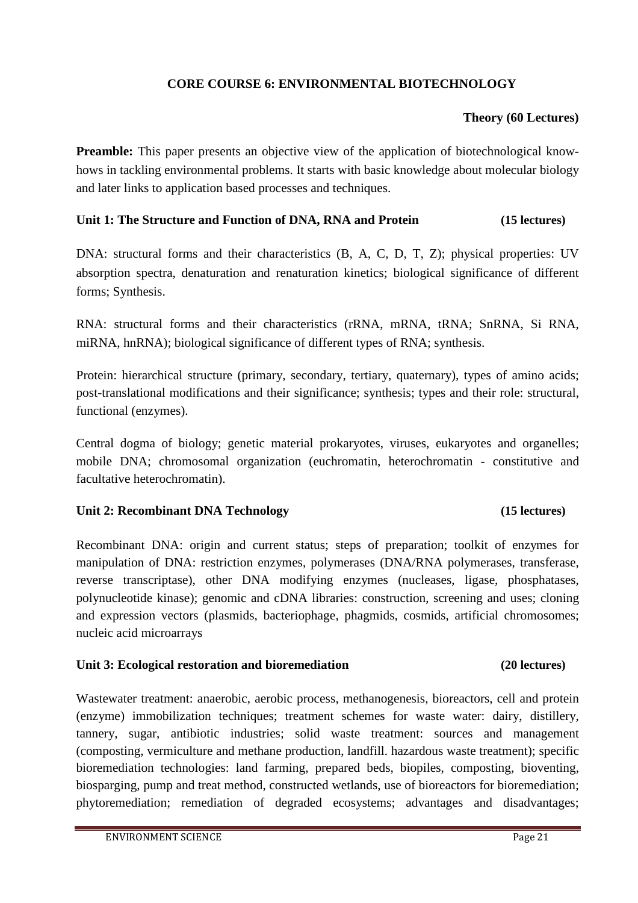# **CORE COURSE 6: ENVIRONMENTAL BIOTECHNOLOGY**

# **Theory (60 Lectures)**

**Preamble:** This paper presents an objective view of the application of biotechnological knowhows in tackling environmental problems. It starts with basic knowledge about molecular biology and later links to application based processes and techniques.

# **Unit 1: The Structure and Function of DNA, RNA and Protein (15 lectures)**

DNA: structural forms and their characteristics (B, A, C, D, T, Z); physical properties: UV absorption spectra, denaturation and renaturation kinetics; biological significance of different forms; Synthesis.

RNA: structural forms and their characteristics (rRNA, mRNA, tRNA; SnRNA, Si RNA, miRNA, hnRNA); biological significance of different types of RNA; synthesis.

Protein: hierarchical structure (primary, secondary, tertiary, quaternary), types of amino acids; post-translational modifications and their significance; synthesis; types and their role: structural, functional (enzymes).

Central dogma of biology; genetic material prokaryotes, viruses, eukaryotes and organelles; mobile DNA; chromosomal organization (euchromatin, heterochromatin - constitutive and facultative heterochromatin).

# **Unit 2: Recombinant DNA Technology (15 lectures)**

Recombinant DNA: origin and current status; steps of preparation; toolkit of enzymes for manipulation of DNA: restriction enzymes, polymerases (DNA/RNA polymerases, transferase, reverse transcriptase), other DNA modifying enzymes (nucleases, ligase, phosphatases, polynucleotide kinase); genomic and cDNA libraries: construction, screening and uses; cloning and expression vectors (plasmids, bacteriophage, phagmids, cosmids, artificial chromosomes; nucleic acid microarrays

# **Unit 3: Ecological restoration and bioremediation (20 lectures)**

Wastewater treatment: anaerobic, aerobic process, methanogenesis, bioreactors, cell and protein (enzyme) immobilization techniques; treatment schemes for waste water: dairy, distillery, tannery, sugar, antibiotic industries; solid waste treatment: sources and management (composting, vermiculture and methane production, landfill. hazardous waste treatment); specific bioremediation technologies: land farming, prepared beds, biopiles, composting, bioventing, biosparging, pump and treat method, constructed wetlands, use of bioreactors for bioremediation; phytoremediation; remediation of degraded ecosystems; advantages and disadvantages;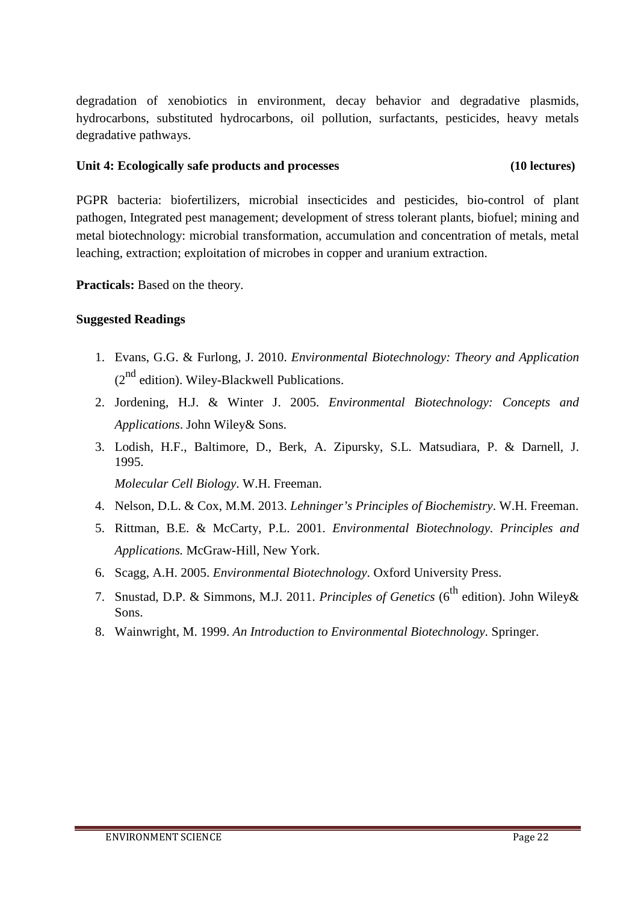degradation of xenobiotics in environment, decay behavior and degradative plasmids, hydrocarbons, substituted hydrocarbons, oil pollution, surfactants, pesticides, heavy metals degradative pathways.

### **Unit 4: Ecologically safe products and processes (10 lectures)**

PGPR bacteria: biofertilizers, microbial insecticides and pesticides, bio-control of plant pathogen, Integrated pest management; development of stress tolerant plants, biofuel; mining and metal biotechnology: microbial transformation, accumulation and concentration of metals, metal leaching, extraction; exploitation of microbes in copper and uranium extraction.

**Practicals:** Based on the theory.

# **Suggested Readings**

- 1. Evans, G.G. & Furlong, J. 2010. *Environmental Biotechnology: Theory and Application*  $(2^{nd}$  edition). Wiley-Blackwell Publications.
- 2. Jordening, H.J. & Winter J. 2005. *Environmental Biotechnology: Concepts and Applications*. John Wiley& Sons.
- 3. Lodish, H.F., Baltimore, D., Berk, A. Zipursky, S.L. Matsudiara, P. & Darnell, J. 1995.

*Molecular Cell Biology*. W.H. Freeman.

- 4. Nelson, D.L. & Cox, M.M. 2013. *Lehninger's Principles of Biochemistry*. W.H. Freeman.
- 5. Rittman, B.E. & McCarty, P.L. 2001. *Environmental Biotechnology. Principles and Applications.* McGraw-Hill, New York.
- 6. Scagg, A.H. 2005. *Environmental Biotechnology*. Oxford University Press.
- 7. Snustad, D.P. & Simmons, M.J. 2011. *Principles of Genetics* (6<sup>th</sup> edition). John Wiley& Sons.
- 8. Wainwright, M. 1999. *An Introduction to Environmental Biotechnology*. Springer.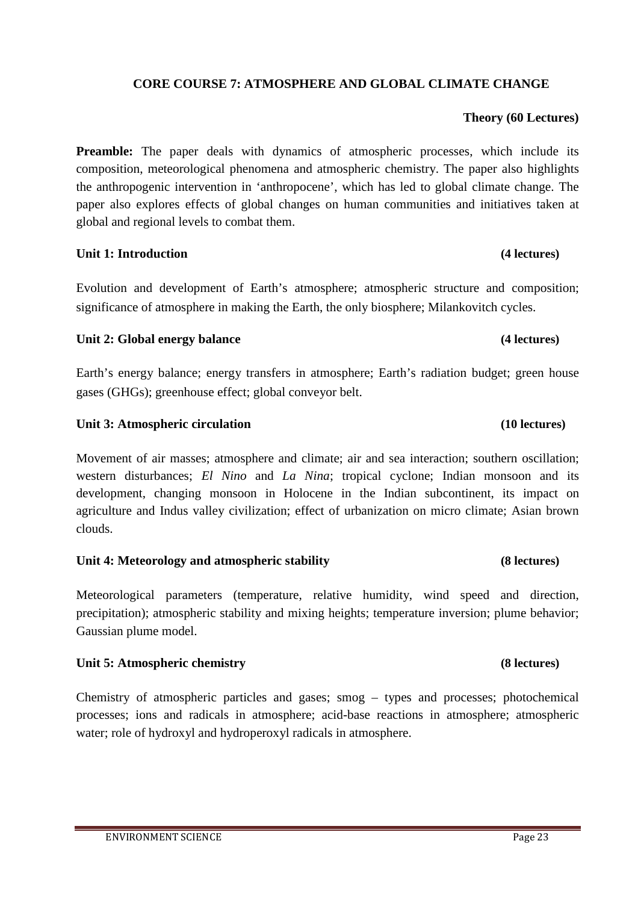# **CORE COURSE 7: ATMOSPHERE AND GLOBAL CLIMATE CHANGE**

# **Theory (60 Lectures)**

**Preamble:** The paper deals with dynamics of atmospheric processes, which include its composition, meteorological phenomena and atmospheric chemistry. The paper also highlights the anthropogenic intervention in 'anthropocene', which has led to global climate change. The paper also explores effects of global changes on human communities and initiatives taken at global and regional levels to combat them.

# **Unit 1: Introduction (4 lectures)**

Evolution and development of Earth's atmosphere; atmospheric structure and composition; significance of atmosphere in making the Earth, the only biosphere; Milankovitch cycles.

# **Unit 2: Global energy balance (4 lectures)**

Earth's energy balance; energy transfers in atmosphere; Earth's radiation budget; green house gases (GHGs); greenhouse effect; global conveyor belt.

# **Unit 3: Atmospheric circulation (10 lectures) (10 lectures)**

Movement of air masses; atmosphere and climate; air and sea interaction; southern oscillation; western disturbances; *El Nino* and *La Nina*; tropical cyclone; Indian monsoon and its development, changing monsoon in Holocene in the Indian subcontinent, its impact on agriculture and Indus valley civilization; effect of urbanization on micro climate; Asian brown clouds.

# **Unit 4: Meteorology and atmospheric stability (8 lectures)**

Meteorological parameters (temperature, relative humidity, wind speed and direction, precipitation); atmospheric stability and mixing heights; temperature inversion; plume behavior; Gaussian plume model.

# **Unit 5: Atmospheric chemistry (8 lectures)**

Chemistry of atmospheric particles and gases; smog – types and processes; photochemical processes; ions and radicals in atmosphere; acid-base reactions in atmosphere; atmospheric water; role of hydroxyl and hydroperoxyl radicals in atmosphere.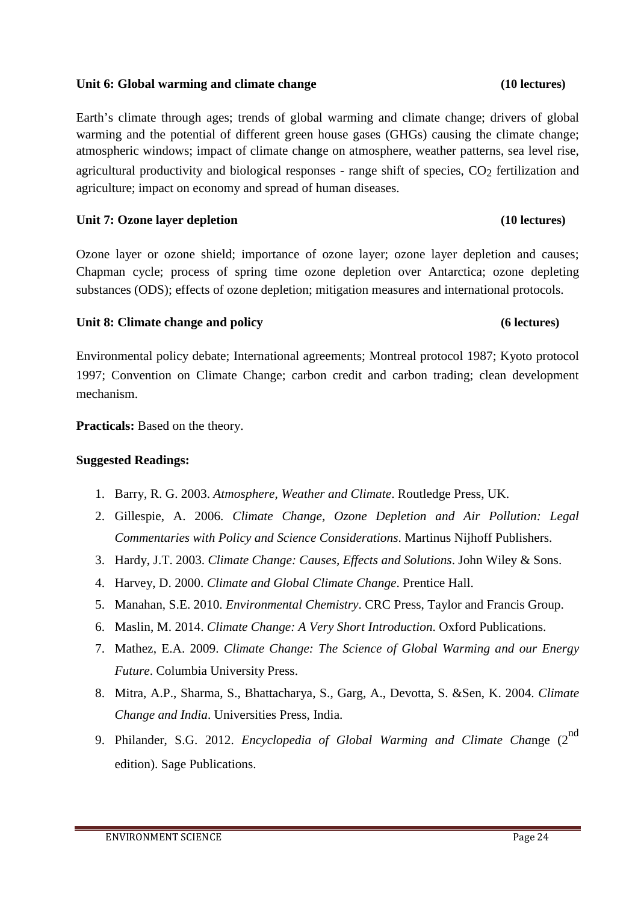# agriculture; impact on economy and spread of human diseases.

Ozone layer or ozone shield; importance of ozone layer; ozone layer depletion and causes; Chapman cycle; process of spring time ozone depletion over Antarctica; ozone depleting substances (ODS); effects of ozone depletion; mitigation measures and international protocols.

# **Unit 8: Climate change and policy (6 lectures)**

Environmental policy debate; International agreements; Montreal protocol 1987; Kyoto protocol 1997; Convention on Climate Change; carbon credit and carbon trading; clean development mechanism.

**Practicals:** Based on the theory.

# **Suggested Readings:**

- 1. Barry, R. G. 2003. *Atmosphere, Weather and Climate*. Routledge Press, UK.
- 2. Gillespie, A. 2006. *Climate Change, Ozone Depletion and Air Pollution: Legal Commentaries with Policy and Science Considerations*. Martinus Nijhoff Publishers.
- 3. Hardy, J.T. 2003. *Climate Change: Causes, Effects and Solutions*. John Wiley & Sons.
- 4. Harvey, D. 2000. *Climate and Global Climate Change*. Prentice Hall.
- 5. Manahan, S.E. 2010. *Environmental Chemistry*. CRC Press, Taylor and Francis Group.
- 6. Maslin, M. 2014. *Climate Change: A Very Short Introduction*. Oxford Publications.
- 7. Mathez, E.A. 2009. *Climate Change: The Science of Global Warming and our Energy Future*. Columbia University Press.
- 8. Mitra, A.P., Sharma, S., Bhattacharya, S., Garg, A., Devotta, S. &Sen, K. 2004. *Climate Change and India*. Universities Press, India.
- 9. Philander, S.G. 2012. *Encyclopedia of Global Warming and Climate Change (2<sup>nd</sup>* edition). Sage Publications.

# **Unit 6: Global warming and climate change (10 lectures)**

Earth's climate through ages; trends of global warming and climate change; drivers of global warming and the potential of different green house gases (GHGs) causing the climate change; atmospheric windows; impact of climate change on atmosphere, weather patterns, sea level rise,

agricultural productivity and biological responses - range shift of species,  $CO<sub>2</sub>$  fertilization and

# Unit 7: Ozone layer depletion **(10 lectures)**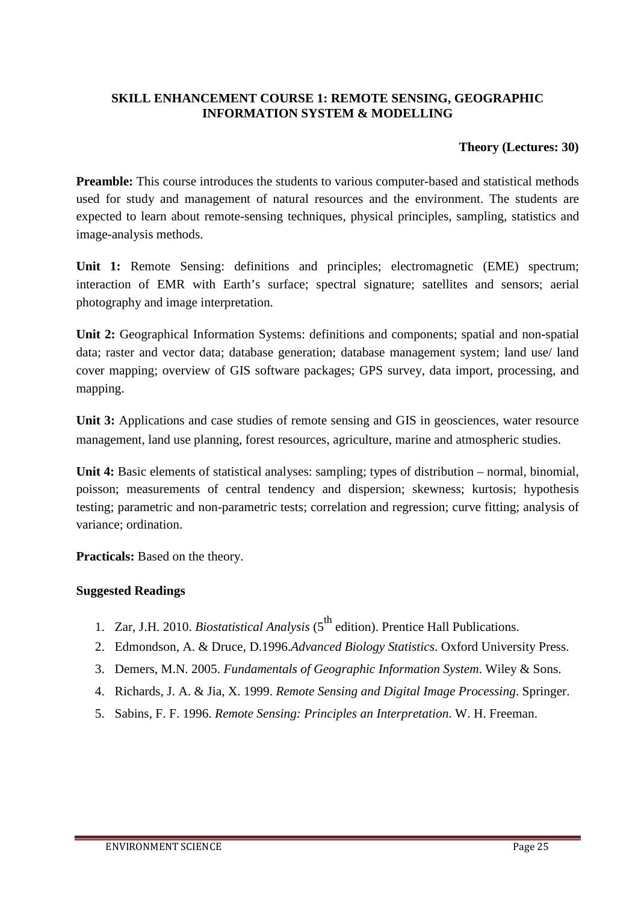# **SKILL ENHANCEMENT COURSE 1: REMOTE SENSING, GEOGRAPHIC INFORMATION SYSTEM & MODELLING**

# **Theory (Lectures: 30)**

Preamble: This course introduces the students to various computer-based and statistical methods used for study and management of natural resources and the environment. The students are expected to learn about remote-sensing techniques, physical principles, sampling, statistics and image-analysis methods.

**Unit 1:** Remote Sensing: definitions and principles; electromagnetic (EME) spectrum; interaction of EMR with Earth's surface; spectral signature; satellites and sensors; aerial photography and image interpretation.

**Unit 2:** Geographical Information Systems: definitions and components; spatial and non-spatial data; raster and vector data; database generation; database management system; land use/ land cover mapping; overview of GIS software packages; GPS survey, data import, processing, and mapping.

**Unit 3:** Applications and case studies of remote sensing and GIS in geosciences, water resource management, land use planning, forest resources, agriculture, marine and atmospheric studies.

**Unit 4:** Basic elements of statistical analyses: sampling; types of distribution – normal, binomial, poisson; measurements of central tendency and dispersion; skewness; kurtosis; hypothesis testing; parametric and non-parametric tests; correlation and regression; curve fitting; analysis of variance; ordination.

**Practicals:** Based on the theory.

- 1. Zar, J.H. 2010. *Biostatistical Analysis* (5th edition). Prentice Hall Publications.
- 2. Edmondson, A. & Druce, D.1996.*Advanced Biology Statistics*. Oxford University Press.
- 3. Demers, M.N. 2005. *Fundamentals of Geographic Information System*. Wiley & Sons.
- 4. Richards, J. A. & Jia, X. 1999. *Remote Sensing and Digital Image Processing*. Springer.
- 5. Sabins, F. F. 1996. *Remote Sensing: Principles an Interpretation*. W. H. Freeman.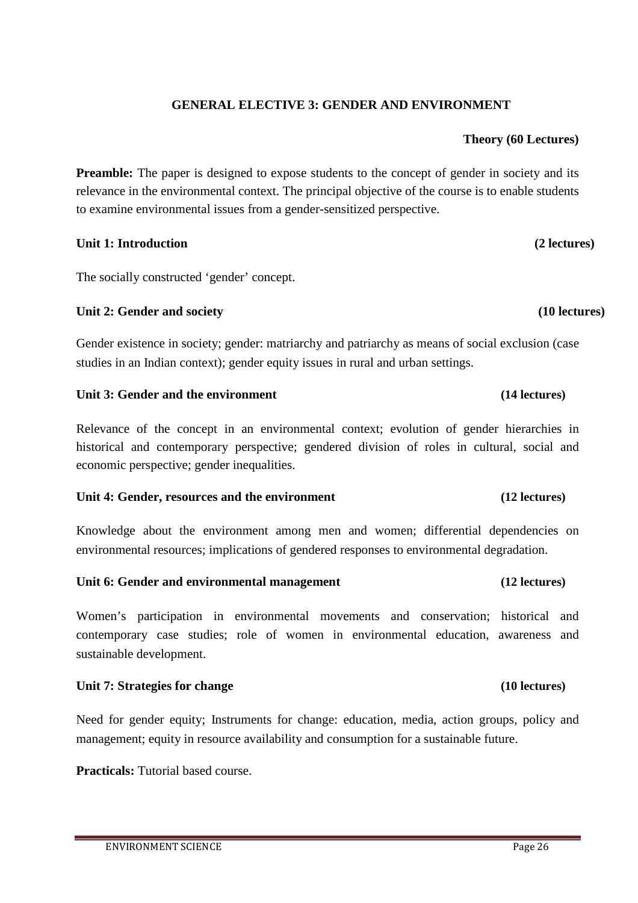# **GENERAL ELECTIVE 3: GENDER AND ENVIRONMENT**

### **Theory (60 Lectures)**

**Preamble:** The paper is designed to expose students to the concept of gender in society and its relevance in the environmental context. The principal objective of the course is to enable students to examine environmental issues from a gender-sensitized perspective.

### **Unit 1: Introduction (2 lectures)**

The socially constructed 'gender' concept.

### Unit 2: Gender and society (10 lectures)

Gender existence in society; gender: matriarchy and patriarchy as means of social exclusion (case studies in an Indian context); gender equity issues in rural and urban settings.

### **Unit 3: Gender and the environment (14 lectures)**

Relevance of the concept in an environmental context; evolution of gender hierarchies in historical and contemporary perspective; gendered division of roles in cultural, social and economic perspective; gender inequalities.

### **Unit 4: Gender, resources and the environment (12 lectures)**

Knowledge about the environment among men and women; differential dependencies on environmental resources; implications of gendered responses to environmental degradation.

### **Unit 6: Gender and environmental management (12 lectures)**

Women's participation in environmental movements and conservation; historical and contemporary case studies; role of women in environmental education, awareness and sustainable development.

### **Unit 7: Strategies for change (10 lectures)**

Need for gender equity; Instruments for change: education, media, action groups, policy and management; equity in resource availability and consumption for a sustainable future.

**Practicals:** Tutorial based course.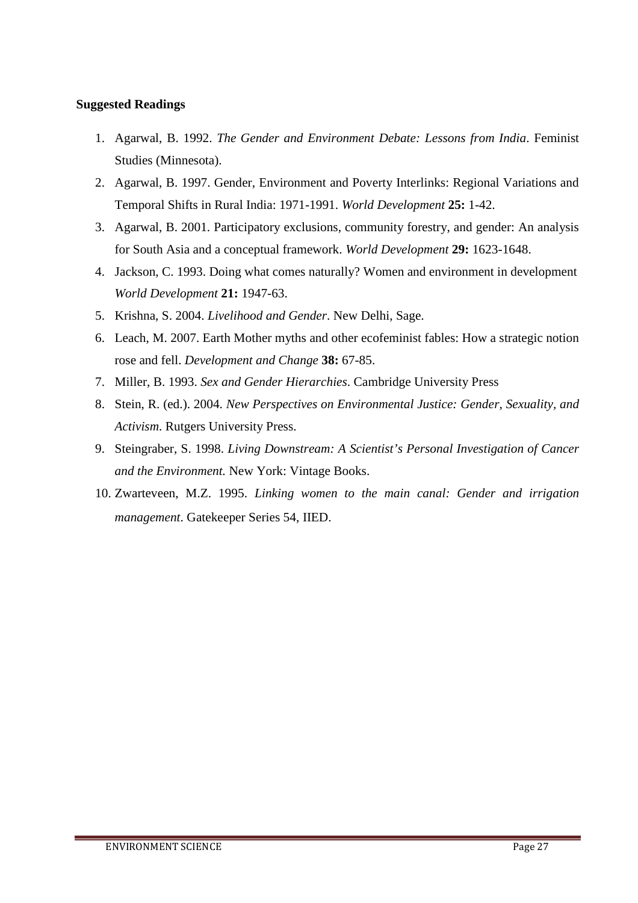- 1. Agarwal, B. 1992. *The Gender and Environment Debate: Lessons from India*. Feminist Studies (Minnesota).
- 2. Agarwal, B. 1997. Gender, Environment and Poverty Interlinks: Regional Variations and Temporal Shifts in Rural India: 1971-1991. *World Development* **25:** 1-42.
- 3. Agarwal, B. 2001. Participatory exclusions, community forestry, and gender: An analysis for South Asia and a conceptual framework. *World Development* **29:** 1623-1648.
- 4. Jackson, C. 1993. Doing what comes naturally? Women and environment in development *World Development* **21:** 1947-63.
- 5. Krishna, S. 2004. *Livelihood and Gender*. New Delhi, Sage.
- 6. Leach, M. 2007. Earth Mother myths and other ecofeminist fables: How a strategic notion rose and fell. *Development and Change* **38:** 67-85.
- 7. Miller, B. 1993. *Sex and Gender Hierarchies*. Cambridge University Press
- 8. Stein, R. (ed.). 2004. *New Perspectives on Environmental Justice: Gender, Sexuality, and Activism*. Rutgers University Press.
- 9. Steingraber, S. 1998. *Living Downstream: A Scientist's Personal Investigation of Cancer and the Environment.* New York: Vintage Books.
- 10. Zwarteveen, M.Z. 1995. *Linking women to the main canal: Gender and irrigation management*. Gatekeeper Series 54, IIED.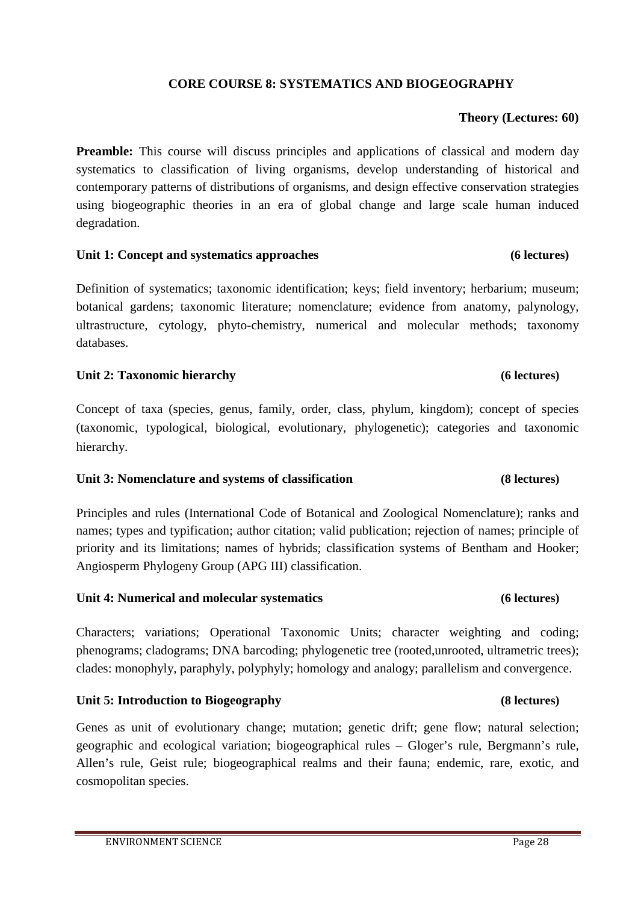# **CORE COURSE 8: SYSTEMATICS AND BIOGEOGRAPHY**

### **Theory (Lectures: 60)**

**Preamble:** This course will discuss principles and applications of classical and modern day systematics to classification of living organisms, develop understanding of historical and contemporary patterns of distributions of organisms, and design effective conservation strategies using biogeographic theories in an era of global change and large scale human induced degradation.

### **Unit 1: Concept and systematics approaches (6 lectures)**

Definition of systematics; taxonomic identification; keys; field inventory; herbarium; museum; botanical gardens; taxonomic literature; nomenclature; evidence from anatomy, palynology, ultrastructure, cytology, phyto-chemistry, numerical and molecular methods; taxonomy databases.

### **Unit 2: Taxonomic hierarchy (6 lectures)**

Concept of taxa (species, genus, family, order, class, phylum, kingdom); concept of species (taxonomic, typological, biological, evolutionary, phylogenetic); categories and taxonomic hierarchy.

### **Unit 3: Nomenclature and systems of classification (8 lectures)**

Principles and rules (International Code of Botanical and Zoological Nomenclature); ranks and names; types and typification; author citation; valid publication; rejection of names; principle of priority and its limitations; names of hybrids; classification systems of Bentham and Hooker; Angiosperm Phylogeny Group (APG III) classification.

### **Unit 4: Numerical and molecular systematics (6 lectures)**

Characters; variations; Operational Taxonomic Units; character weighting and coding; phenograms; cladograms; DNA barcoding; phylogenetic tree (rooted,unrooted, ultrametric trees); clades: monophyly, paraphyly, polyphyly; homology and analogy; parallelism and convergence.

# **Unit 5: Introduction to Biogeography (8 lectures)**

Genes as unit of evolutionary change; mutation; genetic drift; gene flow; natural selection; geographic and ecological variation; biogeographical rules – Gloger's rule, Bergmann's rule, Allen's rule, Geist rule; biogeographical realms and their fauna; endemic, rare, exotic, and cosmopolitan species.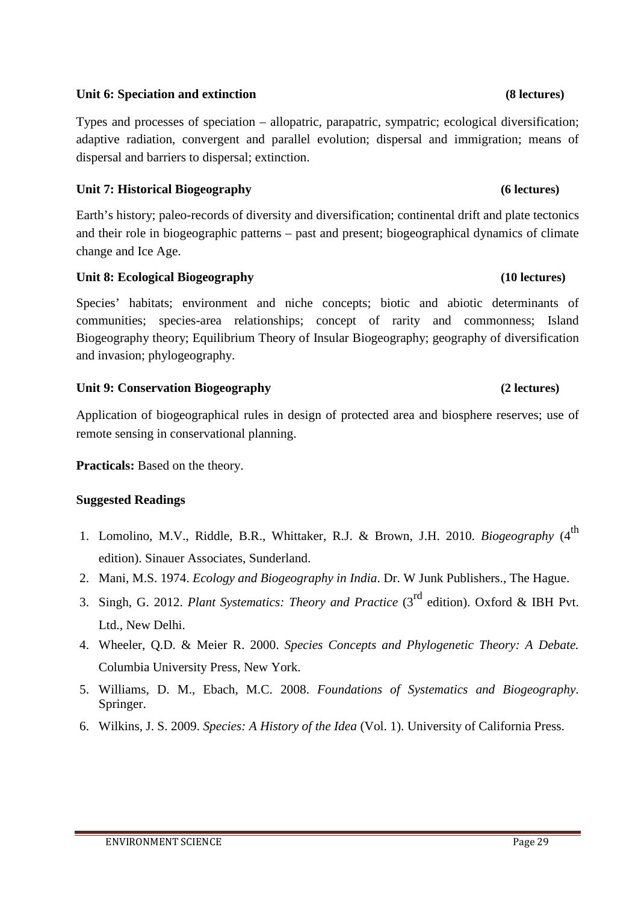### ENVIRONMENT SCIENCE **Page 29**

# **Unit 6: Speciation and extinction (8 lectures)**

Types and processes of speciation – allopatric, parapatric, sympatric; ecological diversification; adaptive radiation, convergent and parallel evolution; dispersal and immigration; means of dispersal and barriers to dispersal; extinction.

# **Unit 7: Historical Biogeography (6 lectures)**

Earth's history; paleo-records of diversity and diversification; continental drift and plate tectonics and their role in biogeographic patterns – past and present; biogeographical dynamics of climate change and Ice Age.

# **Unit 8: Ecological Biogeography (10 lectures)**

Species' habitats; environment and niche concepts; biotic and abiotic determinants of communities; species-area relationships; concept of rarity and commonness; Island Biogeography theory; Equilibrium Theory of Insular Biogeography; geography of diversification and invasion; phylogeography.

# **Unit 9: Conservation Biogeography (2 lectures)**

Application of biogeographical rules in design of protected area and biosphere reserves; use of remote sensing in conservational planning.

**Practicals:** Based on the theory.

- 1. Lomolino, M.V., Riddle, B.R., Whittaker, R.J. & Brown, J.H. 2010. *Biogeography* (4<sup>th</sup> edition). Sinauer Associates, Sunderland.
- 2. Mani, M.S. 1974. *Ecology and Biogeography in India*. Dr. W Junk Publishers., The Hague.
- 3. Singh, G. 2012. *Plant Systematics: Theory and Practice* (3rd edition). Oxford & IBH Pvt. Ltd., New Delhi.
- 4. Wheeler, Q.D. & Meier R. 2000. *Species Concepts and Phylogenetic Theory: A Debate.* Columbia University Press, New York.
- 5. Williams, D. M., Ebach, M.C. 2008. *Foundations of Systematics and Biogeography*. Springer.
- 6. Wilkins, J. S. 2009. *Species: A History of the Idea* (Vol. 1). University of California Press.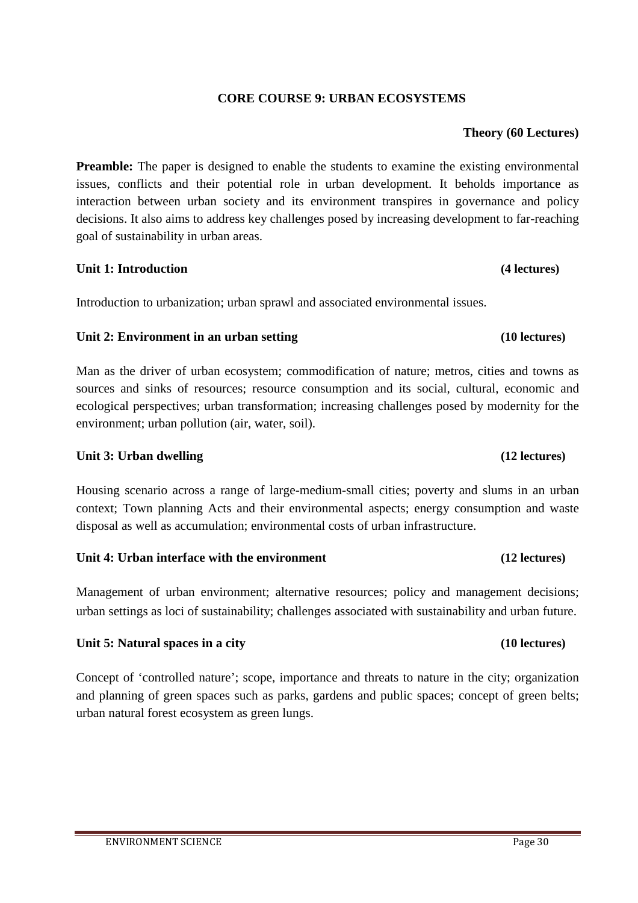# **CORE COURSE 9: URBAN ECOSYSTEMS**

# **Theory (60 Lectures)**

**Preamble:** The paper is designed to enable the students to examine the existing environmental issues, conflicts and their potential role in urban development. It beholds importance as interaction between urban society and its environment transpires in governance and policy decisions. It also aims to address key challenges posed by increasing development to far-reaching goal of sustainability in urban areas.

# **Unit 1: Introduction (4 lectures)**

Introduction to urbanization; urban sprawl and associated environmental issues.

# **Unit 2: Environment in an urban setting (10 lectures)**

Man as the driver of urban ecosystem; commodification of nature; metros, cities and towns as sources and sinks of resources; resource consumption and its social, cultural, economic and ecological perspectives; urban transformation; increasing challenges posed by modernity for the environment; urban pollution (air, water, soil).

# **Unit 3: Urban dwelling** (12 lectures)

Housing scenario across a range of large-medium-small cities; poverty and slums in an urban context; Town planning Acts and their environmental aspects; energy consumption and waste disposal as well as accumulation; environmental costs of urban infrastructure.

### **Unit 4: Urban interface with the environment (12 lectures)**

Management of urban environment; alternative resources; policy and management decisions; urban settings as loci of sustainability; challenges associated with sustainability and urban future.

# **Unit 5: Natural spaces in a city (10 lectures)**

Concept of 'controlled nature'; scope, importance and threats to nature in the city; organization and planning of green spaces such as parks, gardens and public spaces; concept of green belts; urban natural forest ecosystem as green lungs.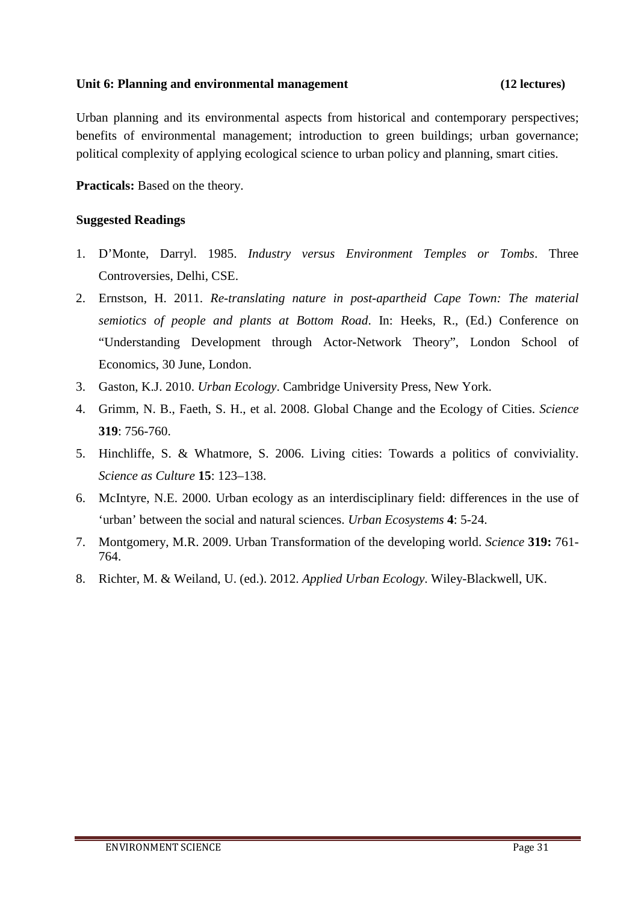# **Unit 6: Planning and environmental management (12 lectures)**

Urban planning and its environmental aspects from historical and contemporary perspectives; benefits of environmental management; introduction to green buildings; urban governance; political complexity of applying ecological science to urban policy and planning, smart cities.

**Practicals:** Based on the theory.

- 1. D'Monte, Darryl. 1985. *Industry versus Environment Temples or Tombs*. Three Controversies, Delhi, CSE.
- 2. Ernstson, H. 2011. *Re-translating nature in post-apartheid Cape Town: The material semiotics of people and plants at Bottom Road*. In: Heeks, R., (Ed.) Conference on "Understanding Development through Actor-Network Theory", London School of Economics, 30 June, London.
- 3. Gaston, K.J. 2010. *Urban Ecology*. Cambridge University Press, New York.
- 4. Grimm, N. B., Faeth, S. H., et al. 2008. Global Change and the Ecology of Cities. *Science* **319**: 756-760.
- 5. Hinchliffe, S. & Whatmore, S. 2006. Living cities: Towards a politics of conviviality. *Science as Culture* **15**: 123–138.
- 6. McIntyre, N.E. 2000. Urban ecology as an interdisciplinary field: differences in the use of 'urban' between the social and natural sciences. *Urban Ecosystems* **4**: 5-24.
- 7. Montgomery, M.R. 2009. Urban Transformation of the developing world. *Science* **319:** 761- 764.
- 8. Richter, M. & Weiland, U. (ed.). 2012. *Applied Urban Ecology*. Wiley-Blackwell, UK.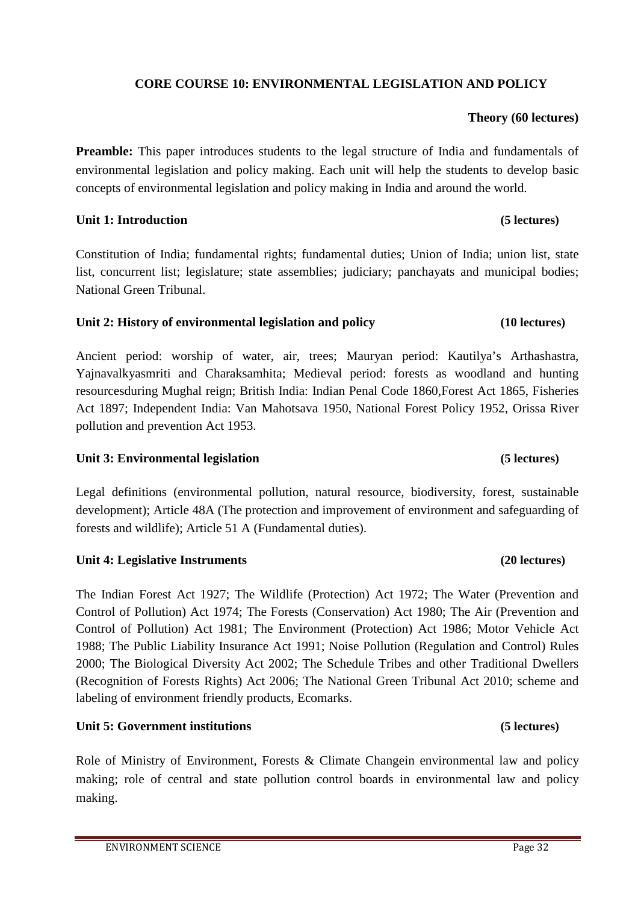# **CORE COURSE 10: ENVIRONMENTAL LEGISLATION AND POLICY**

# **Theory (60 lectures)**

**Preamble:** This paper introduces students to the legal structure of India and fundamentals of environmental legislation and policy making. Each unit will help the students to develop basic concepts of environmental legislation and policy making in India and around the world.

# **Unit 1: Introduction (5 lectures)**

Constitution of India; fundamental rights; fundamental duties; Union of India; union list, state list, concurrent list; legislature; state assemblies; judiciary; panchayats and municipal bodies; National Green Tribunal.

# **Unit 2: History of environmental legislation and policy (10 lectures)**

Ancient period: worship of water, air, trees; Mauryan period: Kautilya's Arthashastra, Yajnavalkyasmriti and Charaksamhita; Medieval period: forests as woodland and hunting resourcesduring Mughal reign; British India: Indian Penal Code 1860,Forest Act 1865, Fisheries Act 1897; Independent India: Van Mahotsava 1950, National Forest Policy 1952, Orissa River pollution and prevention Act 1953.

# **Unit 3: Environmental legislation (5 lectures)**

Legal definitions (environmental pollution, natural resource, biodiversity, forest, sustainable development); Article 48A (The protection and improvement of environment and safeguarding of forests and wildlife); Article 51 A (Fundamental duties).

# **Unit 4: Legislative Instruments** *(20)* **lectures)**

The Indian Forest Act 1927; The Wildlife (Protection) Act 1972; The Water (Prevention and Control of Pollution) Act 1974; The Forests (Conservation) Act 1980; The Air (Prevention and Control of Pollution) Act 1981; The Environment (Protection) Act 1986; Motor Vehicle Act 1988; The Public Liability Insurance Act 1991; Noise Pollution (Regulation and Control) Rules 2000; The Biological Diversity Act 2002; The Schedule Tribes and other Traditional Dwellers (Recognition of Forests Rights) Act 2006; The National Green Tribunal Act 2010; scheme and labeling of environment friendly products, Ecomarks.

# **Unit 5: Government institutions (5 lectures)**

Role of Ministry of Environment, Forests & Climate Changein environmental law and policy making; role of central and state pollution control boards in environmental law and policy making.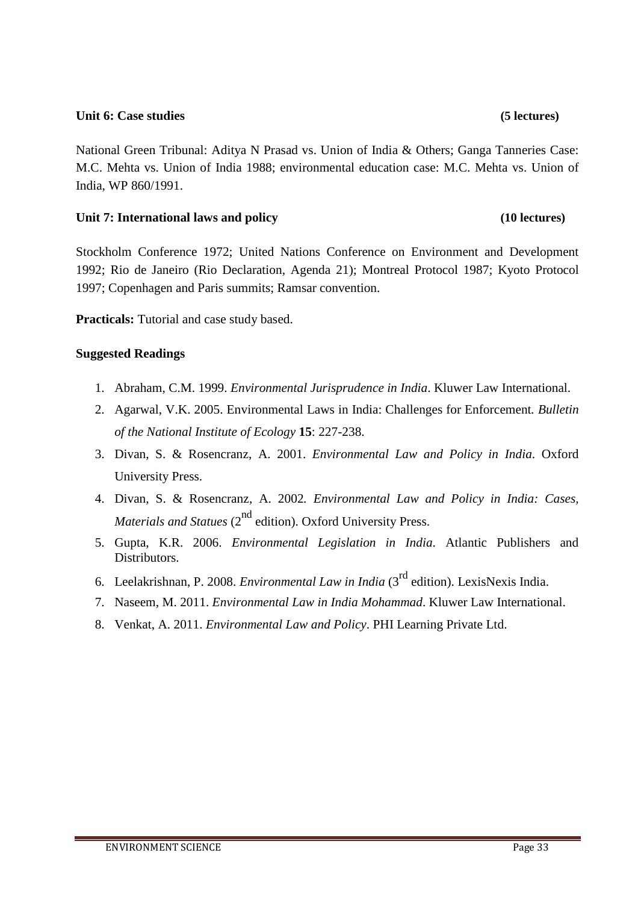# **Unit 6: Case studies (5 lectures)**

National Green Tribunal: Aditya N Prasad vs. Union of India & Others; Ganga Tanneries Case: M.C. Mehta vs. Union of India 1988; environmental education case: M.C. Mehta vs. Union of India, WP 860/1991.

# **Unit 7: International laws and policy (10 lectures)**

Stockholm Conference 1972; United Nations Conference on Environment and Development 1992; Rio de Janeiro (Rio Declaration, Agenda 21); Montreal Protocol 1987; Kyoto Protocol 1997; Copenhagen and Paris summits; Ramsar convention.

**Practicals:** Tutorial and case study based.

- 1. Abraham, C.M. 1999. *Environmental Jurisprudence in India*. Kluwer Law International.
- 2. Agarwal, V.K. 2005. Environmental Laws in India: Challenges for Enforcement*. Bulletin of the National Institute of Ecology* **15**: 227-238.
- 3. Divan, S. & Rosencranz, A. 2001. *Environmental Law and Policy in India*. Oxford University Press.
- 4. Divan, S. & Rosencranz, A. 2002*. Environmental Law and Policy in India: Cases, Materials and Statues* (2<sup>nd</sup> edition). Oxford University Press.
- 5. Gupta, K.R. 2006. *Environmental Legislation in India*. Atlantic Publishers and Distributors.
- 6. Leelakrishnan, P. 2008. *Environmental Law in India* (3rd edition). LexisNexis India.
- 7. Naseem, M. 2011. *Environmental Law in India Mohammad*. Kluwer Law International.
- 8. Venkat, A. 2011. *Environmental Law and Policy*. PHI Learning Private Ltd.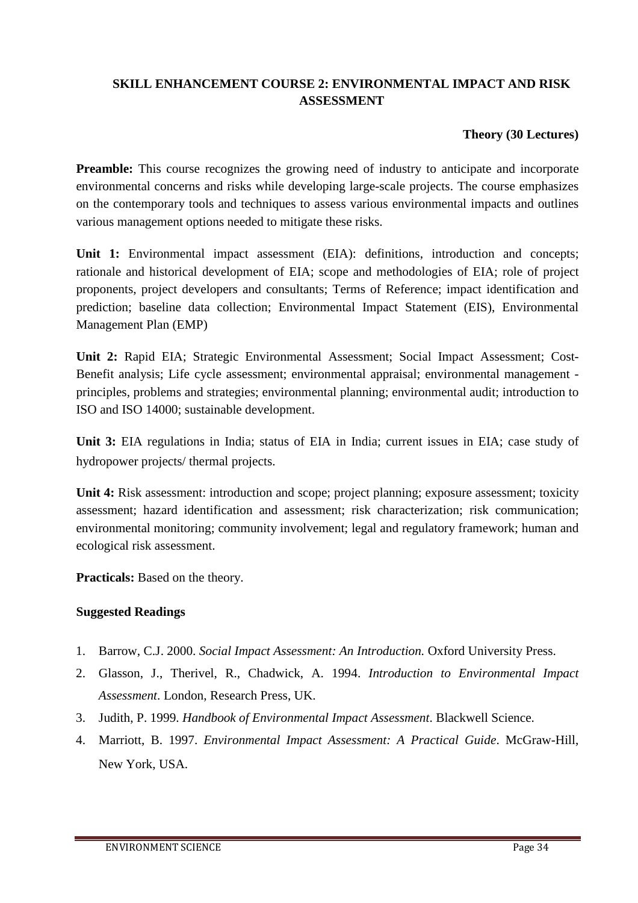# **SKILL ENHANCEMENT COURSE 2: ENVIRONMENTAL IMPACT AND RISK ASSESSMENT**

# **Theory (30 Lectures)**

**Preamble:** This course recognizes the growing need of industry to anticipate and incorporate environmental concerns and risks while developing large-scale projects. The course emphasizes on the contemporary tools and techniques to assess various environmental impacts and outlines various management options needed to mitigate these risks.

Unit 1: Environmental impact assessment (EIA): definitions, introduction and concepts; rationale and historical development of EIA; scope and methodologies of EIA; role of project proponents, project developers and consultants; Terms of Reference; impact identification and prediction; baseline data collection; Environmental Impact Statement (EIS), Environmental Management Plan (EMP)

**Unit 2:** Rapid EIA; Strategic Environmental Assessment; Social Impact Assessment; Cost-Benefit analysis; Life cycle assessment; environmental appraisal; environmental management principles, problems and strategies; environmental planning; environmental audit; introduction to ISO and ISO 14000; sustainable development.

**Unit 3:** EIA regulations in India; status of EIA in India; current issues in EIA; case study of hydropower projects/ thermal projects.

**Unit 4:** Risk assessment: introduction and scope; project planning; exposure assessment; toxicity assessment; hazard identification and assessment; risk characterization; risk communication; environmental monitoring; community involvement; legal and regulatory framework; human and ecological risk assessment.

**Practicals:** Based on the theory.

- 1. Barrow, C.J. 2000. *Social Impact Assessment: An Introduction.* Oxford University Press.
- 2. Glasson, J., Therivel, R., Chadwick, A. 1994. *Introduction to Environmental Impact Assessment*. London, Research Press, UK.
- 3. Judith, P. 1999. *Handbook of Environmental Impact Assessment*. Blackwell Science.
- 4. Marriott, B. 1997. *Environmental Impact Assessment: A Practical Guide*. McGraw-Hill, New York, USA.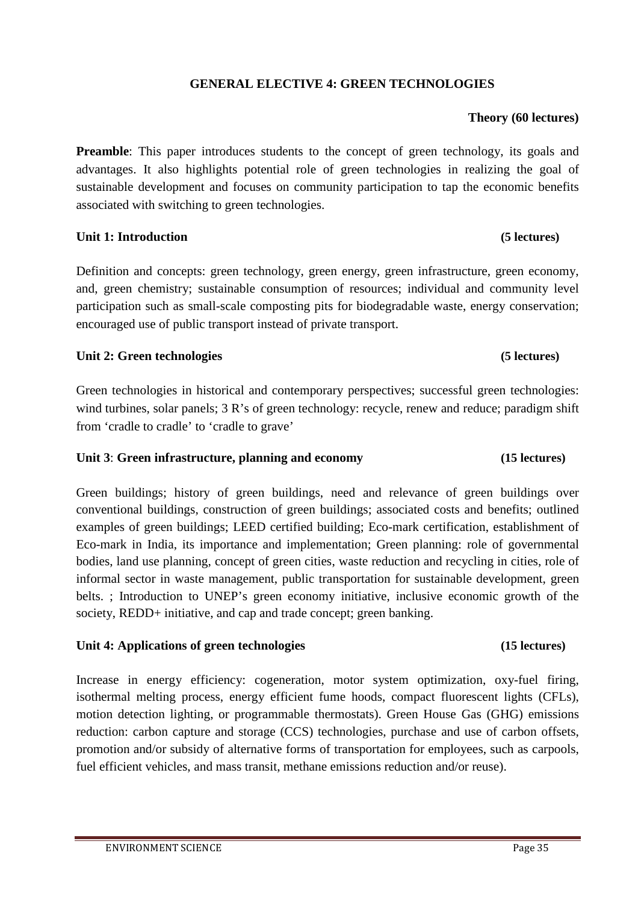# **GENERAL ELECTIVE 4: GREEN TECHNOLOGIES**

# **Theory (60 lectures)**

**Preamble**: This paper introduces students to the concept of green technology, its goals and advantages. It also highlights potential role of green technologies in realizing the goal of sustainable development and focuses on community participation to tap the economic benefits associated with switching to green technologies.

### **Unit 1: Introduction (5 lectures)**

Definition and concepts: green technology, green energy, green infrastructure, green economy, and, green chemistry; sustainable consumption of resources; individual and community level participation such as small-scale composting pits for biodegradable waste, energy conservation; encouraged use of public transport instead of private transport.

### **Unit 2: Green technologies (5 lectures)**

Green technologies in historical and contemporary perspectives; successful green technologies: wind turbines, solar panels; 3 R's of green technology: recycle, renew and reduce; paradigm shift from 'cradle to cradle' to 'cradle to grave'

# **Unit 3**: **Green infrastructure, planning and economy (15 lectures)**

Green buildings; history of green buildings, need and relevance of green buildings over conventional buildings, construction of green buildings; associated costs and benefits; outlined examples of green buildings; LEED certified building; Eco-mark certification, establishment of Eco-mark in India, its importance and implementation; Green planning: role of governmental bodies, land use planning, concept of green cities, waste reduction and recycling in cities, role of informal sector in waste management, public transportation for sustainable development, green belts. ; Introduction to UNEP's green economy initiative, inclusive economic growth of the society, REDD+ initiative, and cap and trade concept; green banking.

### **Unit 4: Applications of green technologies (15 lectures)**

Increase in energy efficiency: cogeneration, motor system optimization, oxy-fuel firing, isothermal melting process, energy efficient fume hoods, compact fluorescent lights (CFLs), motion detection lighting, or programmable thermostats). Green House Gas (GHG) emissions reduction: carbon capture and storage (CCS) technologies, purchase and use of carbon offsets, promotion and/or subsidy of alternative forms of transportation for employees, such as carpools, fuel efficient vehicles, and mass transit, methane emissions reduction and/or reuse).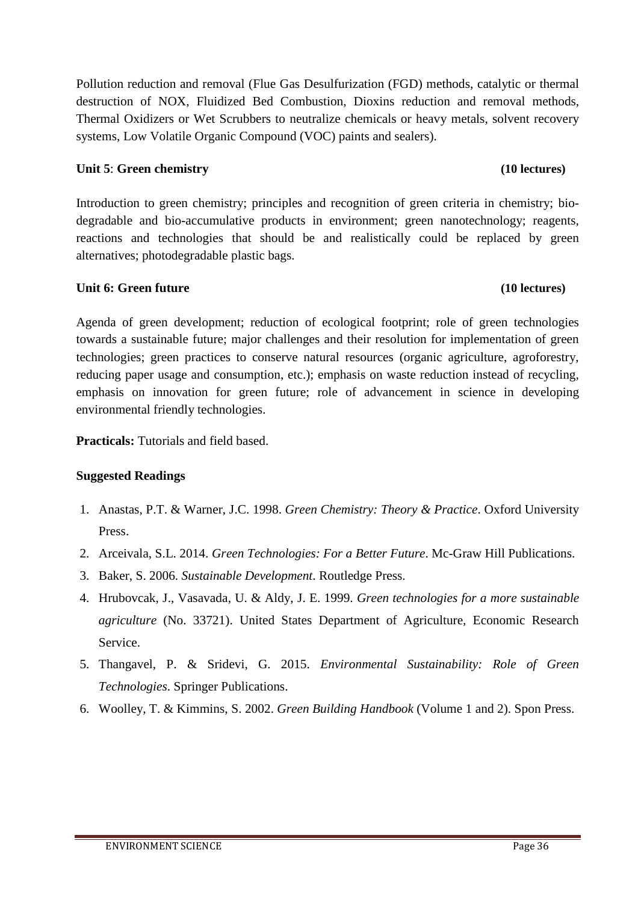Pollution reduction and removal (Flue Gas Desulfurization (FGD) methods, catalytic or thermal destruction of NOX, Fluidized Bed Combustion, Dioxins reduction and removal methods, Thermal Oxidizers or Wet Scrubbers to neutralize chemicals or heavy metals, solvent recovery systems, Low Volatile Organic Compound (VOC) paints and sealers).

# **Unit 5**: **Green chemistry (10 lectures)**

Introduction to green chemistry; principles and recognition of green criteria in chemistry; biodegradable and bio-accumulative products in environment; green nanotechnology; reagents, reactions and technologies that should be and realistically could be replaced by green alternatives; photodegradable plastic bags.

# **Unit 6: Green future** (10 lectures)

Agenda of green development; reduction of ecological footprint; role of green technologies towards a sustainable future; major challenges and their resolution for implementation of green technologies; green practices to conserve natural resources (organic agriculture, agroforestry, reducing paper usage and consumption, etc.); emphasis on waste reduction instead of recycling, emphasis on innovation for green future; role of advancement in science in developing environmental friendly technologies.

**Practicals:** Tutorials and field based.

- 1. Anastas, P.T. & Warner, J.C. 1998. *Green Chemistry: Theory & Practice*. Oxford University Press.
- 2. Arceivala, S.L. 2014. *Green Technologies: For a Better Future*. Mc-Graw Hill Publications.
- 3. Baker, S. 2006. *Sustainable Development*. Routledge Press.
- 4. Hrubovcak, J., Vasavada, U. & Aldy, J. E. 1999. *Green technologies for a more sustainable agriculture* (No. 33721). United States Department of Agriculture, Economic Research Service.
- 5. Thangavel, P. & Sridevi, G. 2015. *Environmental Sustainability: Role of Green Technologies*. Springer Publications.
- 6. Woolley, T. & Kimmins, S. 2002. *Green Building Handbook* (Volume 1 and 2). Spon Press.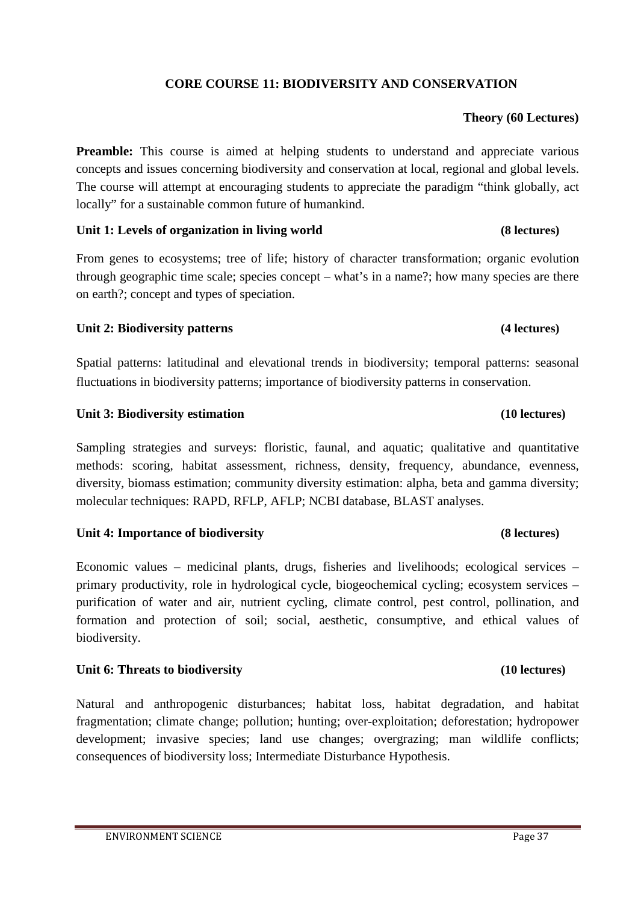# **CORE COURSE 11: BIODIVERSITY AND CONSERVATION**

# **Theory (60 Lectures)**

**Preamble:** This course is aimed at helping students to understand and appreciate various concepts and issues concerning biodiversity and conservation at local, regional and global levels. The course will attempt at encouraging students to appreciate the paradigm "think globally, act locally" for a sustainable common future of humankind.

# **Unit 1: Levels of organization in living world (8 lectures)**

From genes to ecosystems; tree of life; history of character transformation; organic evolution through geographic time scale; species concept – what's in a name?; how many species are there on earth?; concept and types of speciation.

# **Unit 2: Biodiversity patterns (4 lectures)**

Spatial patterns: latitudinal and elevational trends in biodiversity; temporal patterns: seasonal fluctuations in biodiversity patterns; importance of biodiversity patterns in conservation.

# Unit 3: Biodiversity estimation **(10 lectures)**

Sampling strategies and surveys: floristic, faunal, and aquatic; qualitative and quantitative methods: scoring, habitat assessment, richness, density, frequency, abundance, evenness, diversity, biomass estimation; community diversity estimation: alpha, beta and gamma diversity; molecular techniques: RAPD, RFLP, AFLP; NCBI database, BLAST analyses.

# **Unit 4: Importance of biodiversity (8 lectures)**

Economic values – medicinal plants, drugs, fisheries and livelihoods; ecological services – primary productivity, role in hydrological cycle, biogeochemical cycling; ecosystem services – purification of water and air, nutrient cycling, climate control, pest control, pollination, and formation and protection of soil; social, aesthetic, consumptive, and ethical values of biodiversity.

# **Unit 6: Threats to biodiversity (10 lectures)**

Natural and anthropogenic disturbances; habitat loss, habitat degradation, and habitat fragmentation; climate change; pollution; hunting; over-exploitation; deforestation; hydropower development; invasive species; land use changes; overgrazing; man wildlife conflicts; consequences of biodiversity loss; Intermediate Disturbance Hypothesis.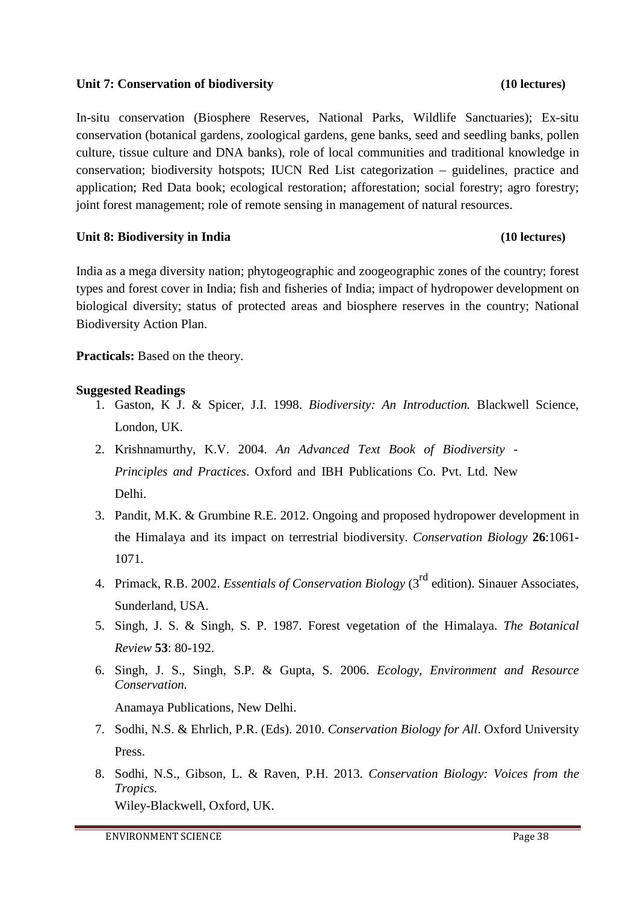# **Unit 7: Conservation of biodiversity (10 lectures)**

In-situ conservation (Biosphere Reserves, National Parks, Wildlife Sanctuaries); Ex-situ conservation (botanical gardens, zoological gardens, gene banks, seed and seedling banks, pollen culture, tissue culture and DNA banks), role of local communities and traditional knowledge in conservation; biodiversity hotspots; IUCN Red List categorization – guidelines, practice and application; Red Data book; ecological restoration; afforestation; social forestry; agro forestry; joint forest management; role of remote sensing in management of natural resources.

# **Unit 8: Biodiversity in India (10 lectures)**

India as a mega diversity nation; phytogeographic and zoogeographic zones of the country; forest types and forest cover in India; fish and fisheries of India; impact of hydropower development on biological diversity; status of protected areas and biosphere reserves in the country; National Biodiversity Action Plan.

**Practicals:** Based on the theory.

# **Suggested Readings**

- 1. Gaston, K J. & Spicer, J.I. 1998. *Biodiversity: An Introduction.* Blackwell Science, London, UK.
- 2. Krishnamurthy, K.V. 2004. *An Advanced Text Book of Biodiversity Principles and Practices*. Oxford and IBH Publications Co. Pvt. Ltd. New Delhi.
- 3. Pandit, M.K. & Grumbine R.E. 2012. Ongoing and proposed hydropower development in the Himalaya and its impact on terrestrial biodiversity. *Conservation Biology* **26**:1061- 1071.
- 4. Primack, R.B. 2002. *Essentials of Conservation Biology* (3rd edition). Sinauer Associates, Sunderland, USA.
- 5. Singh, J. S. & Singh, S. P. 1987. Forest vegetation of the Himalaya. *The Botanical Review* **53**: 80-192.
- 6. Singh, J. S., Singh, S.P. & Gupta, S. 2006. *Ecology, Environment and Resource Conservation.*

Anamaya Publications, New Delhi.

- 7. Sodhi, N.S. & Ehrlich, P.R. (Eds). 2010. *Conservation Biology for All*. Oxford University Press.
- 8. Sodhi, N.S., Gibson, L. & Raven, P.H. 2013. *Conservation Biology: Voices from the Tropics.* Wiley-Blackwell, Oxford, UK.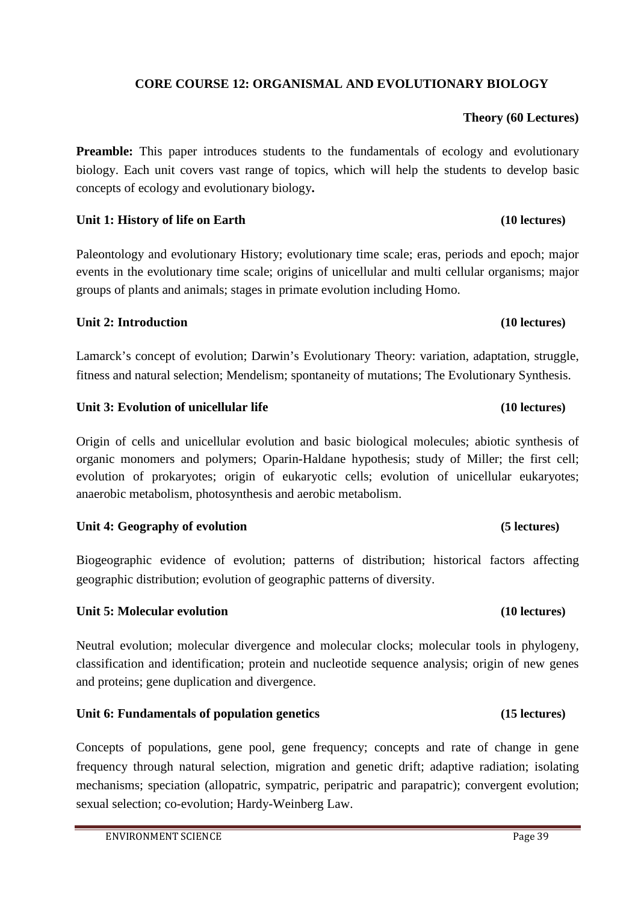# **CORE COURSE 12: ORGANISMAL AND EVOLUTIONARY BIOLOGY**

# **Theory (60 Lectures)**

**Preamble:** This paper introduces students to the fundamentals of ecology and evolutionary biology. Each unit covers vast range of topics, which will help the students to develop basic concepts of ecology and evolutionary biology**.** 

# Unit 1: History of life on Earth **(10 lectures) (10 lectures)**

Paleontology and evolutionary History; evolutionary time scale; eras, periods and epoch; major events in the evolutionary time scale; origins of unicellular and multi cellular organisms; major groups of plants and animals; stages in primate evolution including Homo.

# **Unit 2: Introduction (10 lectures)**

Lamarck's concept of evolution; Darwin's Evolutionary Theory: variation, adaptation, struggle, fitness and natural selection; Mendelism; spontaneity of mutations; The Evolutionary Synthesis.

# **Unit 3: Evolution of unicellular life (10 lectures)**

Origin of cells and unicellular evolution and basic biological molecules; abiotic synthesis of organic monomers and polymers; Oparin-Haldane hypothesis; study of Miller; the first cell; evolution of prokaryotes; origin of eukaryotic cells; evolution of unicellular eukaryotes; anaerobic metabolism, photosynthesis and aerobic metabolism.

# Unit 4: Geography of evolution **(5)** lectures)

Biogeographic evidence of evolution; patterns of distribution; historical factors affecting geographic distribution; evolution of geographic patterns of diversity.

# **Unit 5: Molecular evolution (10 lectures)**

Neutral evolution; molecular divergence and molecular clocks; molecular tools in phylogeny, classification and identification; protein and nucleotide sequence analysis; origin of new genes and proteins; gene duplication and divergence.

# **Unit 6: Fundamentals of population genetics (15 lectures)**

Concepts of populations, gene pool, gene frequency; concepts and rate of change in gene frequency through natural selection, migration and genetic drift; adaptive radiation; isolating mechanisms; speciation (allopatric, sympatric, peripatric and parapatric); convergent evolution; sexual selection; co-evolution; Hardy-Weinberg Law.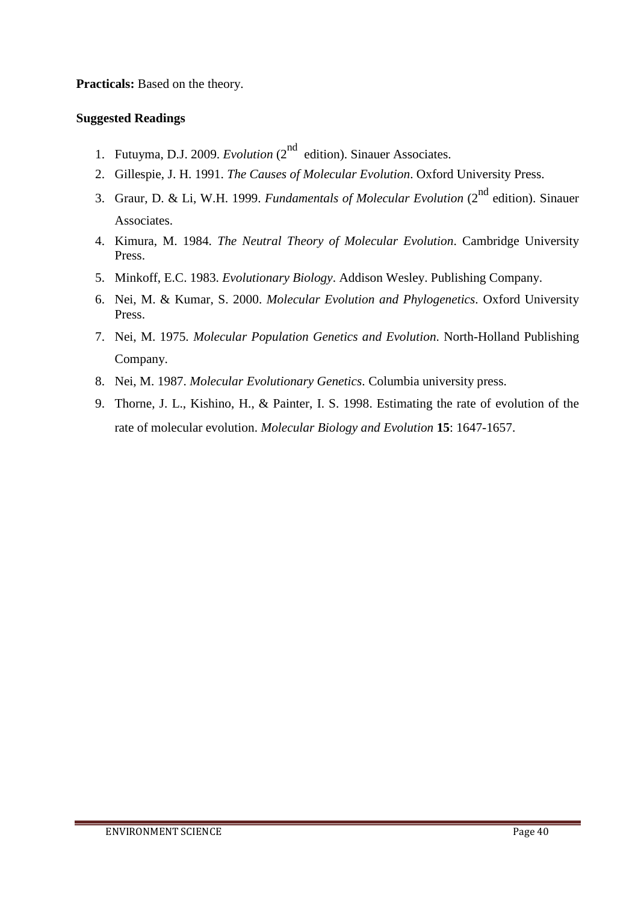**Practicals:** Based on the theory.

- 1. Futuyma, D.J. 2009. *Evolution* (2<sup>nd</sup> edition). Sinauer Associates.
- 2. Gillespie, J. H. 1991. *The Causes of Molecular Evolution*. Oxford University Press.
- 3. Graur, D. & Li, W.H. 1999. *Fundamentals of Molecular Evolution* (2nd edition). Sinauer Associates.
- 4. Kimura, M. 1984. *The Neutral Theory of Molecular Evolution*. Cambridge University Press.
- 5. Minkoff, E.C. 1983. *Evolutionary Biology*. Addison Wesley. Publishing Company.
- 6. Nei, M. & Kumar, S. 2000. *Molecular Evolution and Phylogenetics*. Oxford University Press.
- 7. Nei, M. 1975. *Molecular Population Genetics and Evolution*. North-Holland Publishing Company.
- 8. Nei, M. 1987. *Molecular Evolutionary Genetics*. Columbia university press.
- 9. Thorne, J. L., Kishino, H., & Painter, I. S. 1998. Estimating the rate of evolution of the rate of molecular evolution. *Molecular Biology and Evolution* **15**: 1647-1657.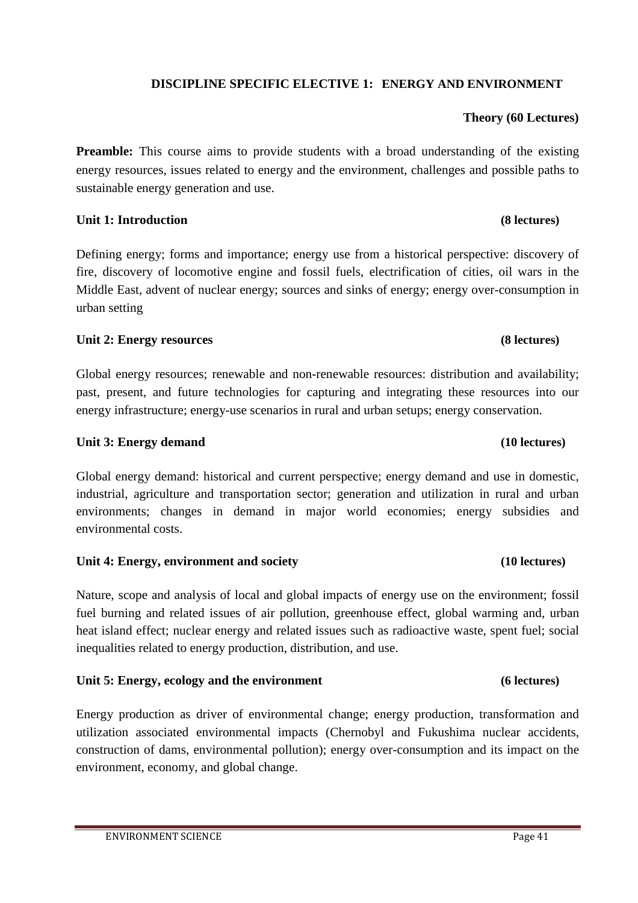# **DISCIPLINE SPECIFIC ELECTIVE 1: ENERGY AND ENVIRONMENT**

# **Theory (60 Lectures)**

**Preamble:** This course aims to provide students with a broad understanding of the existing energy resources, issues related to energy and the environment, challenges and possible paths to sustainable energy generation and use.

# **Unit 1: Introduction (8 lectures)**

Defining energy; forms and importance; energy use from a historical perspective: discovery of fire, discovery of locomotive engine and fossil fuels, electrification of cities, oil wars in the Middle East, advent of nuclear energy; sources and sinks of energy; energy over-consumption in urban setting

# Unit 2: Energy resources **(8)** lectures)

Global energy resources; renewable and non-renewable resources: distribution and availability; past, present, and future technologies for capturing and integrating these resources into our energy infrastructure; energy-use scenarios in rural and urban setups; energy conservation.

# **Unit 3: Energy demand (10 lectures)**

Global energy demand: historical and current perspective; energy demand and use in domestic, industrial, agriculture and transportation sector; generation and utilization in rural and urban environments; changes in demand in major world economies; energy subsidies and environmental costs.

# **Unit 4: Energy, environment and society (10 lectures)**

Nature, scope and analysis of local and global impacts of energy use on the environment; fossil fuel burning and related issues of air pollution, greenhouse effect, global warming and, urban heat island effect; nuclear energy and related issues such as radioactive waste, spent fuel; social inequalities related to energy production, distribution, and use.

# **Unit 5: Energy, ecology and the environment (6 lectures)**

Energy production as driver of environmental change; energy production, transformation and utilization associated environmental impacts (Chernobyl and Fukushima nuclear accidents, construction of dams, environmental pollution); energy over-consumption and its impact on the environment, economy, and global change.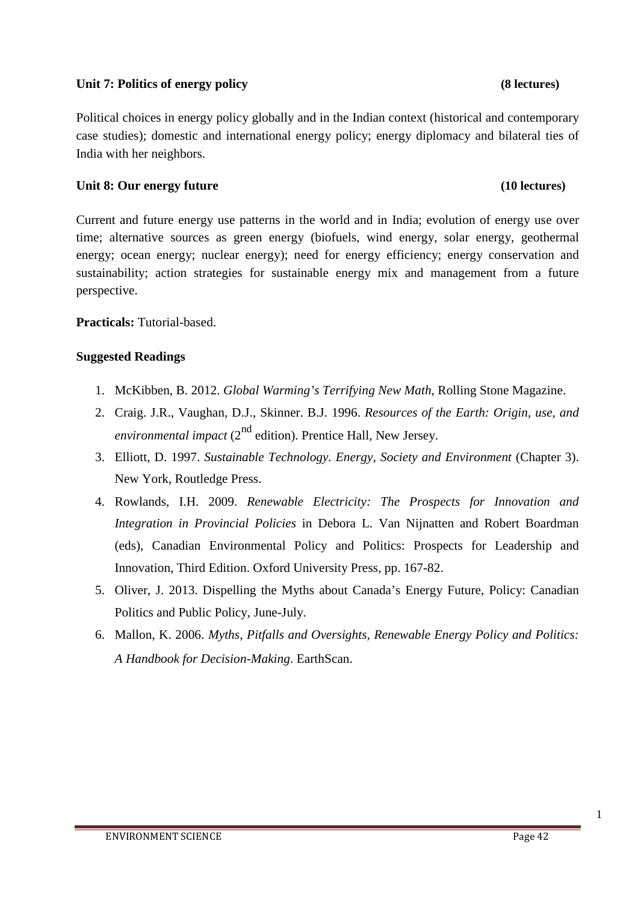# Unit 7: Politics of energy policy **(8)** lectures)

Political choices in energy policy globally and in the Indian context (historical and contemporary case studies); domestic and international energy policy; energy diplomacy and bilateral ties of India with her neighbors.

# **Unit 8: Our energy future (10 lectures)**

Current and future energy use patterns in the world and in India; evolution of energy use over time; alternative sources as green energy (biofuels, wind energy, solar energy, geothermal energy; ocean energy; nuclear energy); need for energy efficiency; energy conservation and sustainability; action strategies for sustainable energy mix and management from a future perspective.

**Practicals:** Tutorial-based.

# **Suggested Readings**

- 1. McKibben, B. 2012. *Global Warming's Terrifying New Math*, Rolling Stone Magazine.
- 2. Craig. J.R., Vaughan, D.J., Skinner. B.J. 1996. *Resources of the Earth: Origin, use, and environmental impact*  $(2^{nd}$  edition). Prentice Hall, New Jersey.
- 3. Elliott, D. 1997. *Sustainable Technology. Energy, Society and Environment* (Chapter 3). New York, Routledge Press.
- 4. Rowlands, I.H. 2009. *Renewable Electricity: The Prospects for Innovation and Integration in Provincial Policies* in Debora L. Van Nijnatten and Robert Boardman (eds), Canadian Environmental Policy and Politics: Prospects for Leadership and Innovation, Third Edition. Oxford University Press, pp. 167-82.
- 5. Oliver, J. 2013. Dispelling the Myths about Canada's Energy Future, Policy: Canadian Politics and Public Policy, June-July.
- 6. Mallon, K. 2006. *Myths, Pitfalls and Oversights, Renewable Energy Policy and Politics: A Handbook for Decision-Making*. EarthScan.

### ENVIRONMENT SCIENCE **EXECUTE 2006** Page 42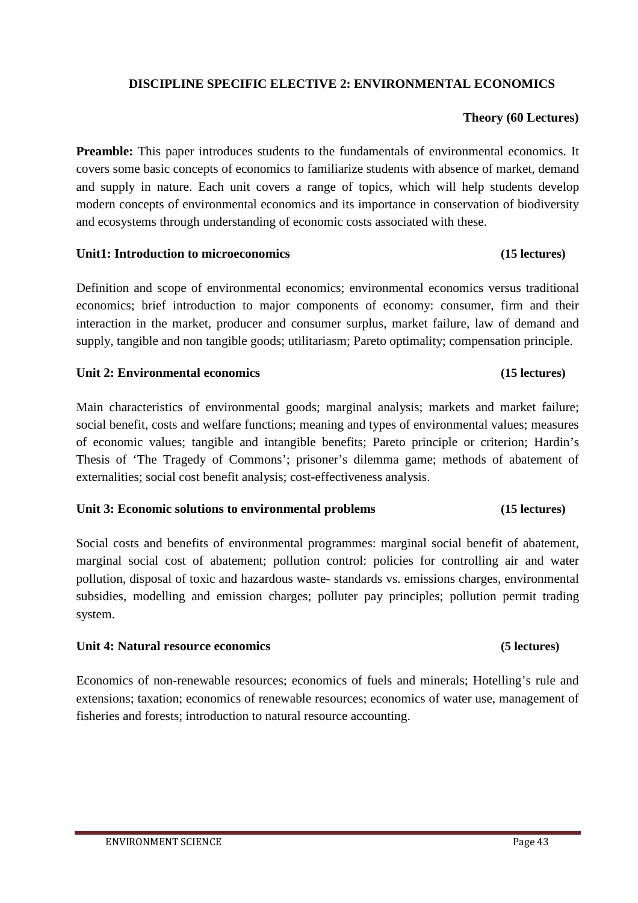# **DISCIPLINE SPECIFIC ELECTIVE 2: ENVIRONMENTAL ECONOMICS**

# **Theory (60 Lectures)**

**Preamble:** This paper introduces students to the fundamentals of environmental economics. It covers some basic concepts of economics to familiarize students with absence of market, demand and supply in nature. Each unit covers a range of topics, which will help students develop modern concepts of environmental economics and its importance in conservation of biodiversity and ecosystems through understanding of economic costs associated with these.

# **Unit1: Introduction to microeconomics (15 lectures)**

Definition and scope of environmental economics; environmental economics versus traditional economics; brief introduction to major components of economy: consumer, firm and their interaction in the market, producer and consumer surplus, market failure, law of demand and supply, tangible and non tangible goods; utilitariasm; Pareto optimality; compensation principle.

# **Unit 2: Environmental economics (15 lectures)**

Main characteristics of environmental goods; marginal analysis; markets and market failure; social benefit, costs and welfare functions; meaning and types of environmental values; measures of economic values; tangible and intangible benefits; Pareto principle or criterion; Hardin's Thesis of 'The Tragedy of Commons'; prisoner's dilemma game; methods of abatement of externalities; social cost benefit analysis; cost-effectiveness analysis.

# **Unit 3: Economic solutions to environmental problems (15 lectures)**

Social costs and benefits of environmental programmes: marginal social benefit of abatement, marginal social cost of abatement; pollution control: policies for controlling air and water pollution, disposal of toxic and hazardous waste- standards vs. emissions charges, environmental subsidies, modelling and emission charges; polluter pay principles; pollution permit trading system.

# **Unit 4: Natural resource economics (5 lectures)**

Economics of non-renewable resources; economics of fuels and minerals; Hotelling's rule and extensions; taxation; economics of renewable resources; economics of water use, management of fisheries and forests; introduction to natural resource accounting.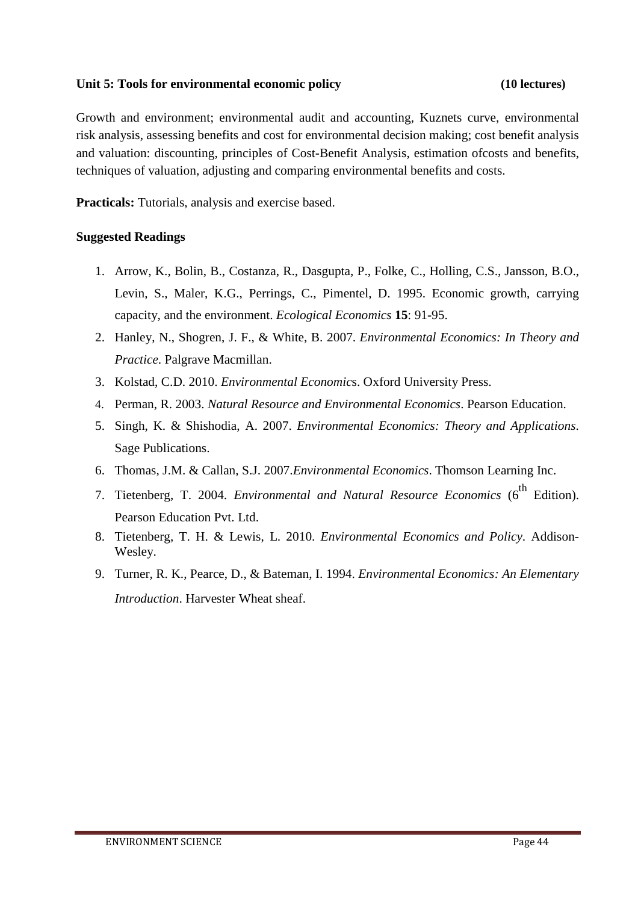# **Unit 5: Tools for environmental economic policy (10 lectures)**

Growth and environment; environmental audit and accounting, Kuznets curve, environmental risk analysis, assessing benefits and cost for environmental decision making; cost benefit analysis and valuation: discounting, principles of Cost-Benefit Analysis, estimation ofcosts and benefits, techniques of valuation, adjusting and comparing environmental benefits and costs.

**Practicals:** Tutorials, analysis and exercise based.

- 1. Arrow, K., Bolin, B., Costanza, R., Dasgupta, P., Folke, C., Holling, C.S., Jansson, B.O., Levin, S., Maler, K.G., Perrings, C., Pimentel, D. 1995. Economic growth, carrying capacity, and the environment. *Ecological Economics* **15**: 91-95.
- 2. Hanley, N., Shogren, J. F., & White, B. 2007. *Environmental Economics: In Theory and Practice*. Palgrave Macmillan.
- 3. Kolstad, C.D. 2010. *Environmental Economic*s. Oxford University Press.
- 4. Perman, R. 2003. *Natural Resource and Environmental Economics*. Pearson Education.
- 5. Singh, K. & Shishodia, A. 2007. *Environmental Economics: Theory and Applications*. Sage Publications.
- 6. Thomas, J.M. & Callan, S.J. 2007.*Environmental Economics*. Thomson Learning Inc.
- 7. Tietenberg, T. 2004. *Environmental and Natural Resource Economics* (6<sup>th</sup> Edition). Pearson Education Pvt. Ltd.
- 8. Tietenberg, T. H. & Lewis, L. 2010. *Environmental Economics and Policy*. Addison-Wesley.
- 9. Turner, R. K., Pearce, D., & Bateman, I. 1994. *Environmental Economics: An Elementary Introduction*. Harvester Wheat sheaf.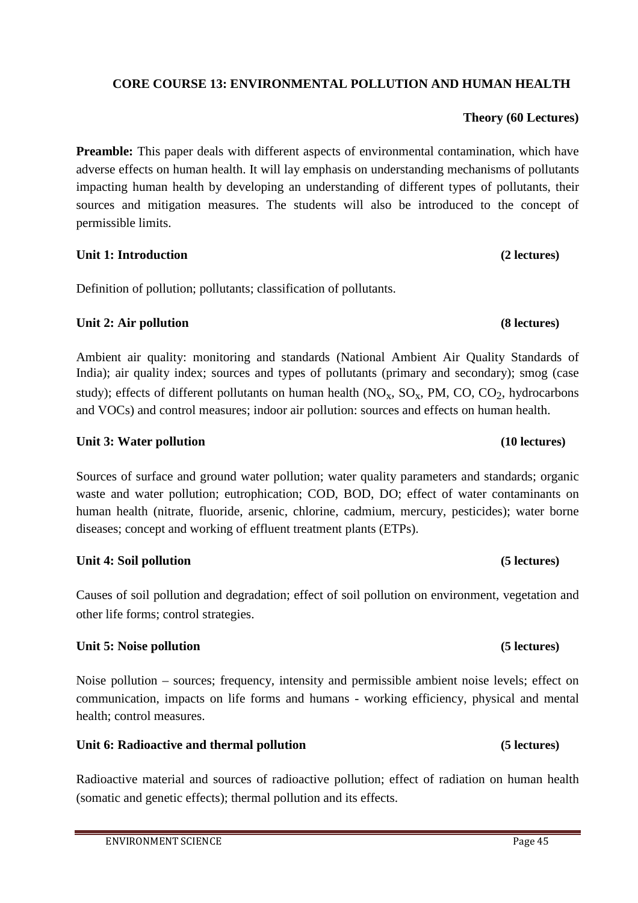# **CORE COURSE 13: ENVIRONMENTAL POLLUTION AND HUMAN HEALTH**

# **Theory (60 Lectures)**

Preamble: This paper deals with different aspects of environmental contamination, which have adverse effects on human health. It will lay emphasis on understanding mechanisms of pollutants impacting human health by developing an understanding of different types of pollutants, their sources and mitigation measures. The students will also be introduced to the concept of permissible limits.

### **Unit 1: Introduction (2 lectures)**

Definition of pollution; pollutants; classification of pollutants.

# **Unit 2: Air pollution (8 lectures)**

Ambient air quality: monitoring and standards (National Ambient Air Quality Standards of India); air quality index; sources and types of pollutants (primary and secondary); smog (case study); effects of different pollutants on human health  $(NO_x, SO_x, PM, CO, CO_2)$ , hydrocarbons and VOCs) and control measures; indoor air pollution: sources and effects on human health.

# **Unit 3: Water pollution (10 lectures) (10 lectures)**

Sources of surface and ground water pollution; water quality parameters and standards; organic waste and water pollution; eutrophication; COD, BOD, DO; effect of water contaminants on human health (nitrate, fluoride, arsenic, chlorine, cadmium, mercury, pesticides); water borne diseases; concept and working of effluent treatment plants (ETPs).

# **Unit 4: Soil pollution (5 lectures)**

Causes of soil pollution and degradation; effect of soil pollution on environment, vegetation and other life forms; control strategies.

# **Unit 5: Noise pollution (5 lectures)**

Noise pollution – sources; frequency, intensity and permissible ambient noise levels; effect on communication, impacts on life forms and humans - working efficiency, physical and mental health; control measures.

# **Unit 6: Radioactive and thermal pollution (5 lectures)**

Radioactive material and sources of radioactive pollution; effect of radiation on human health (somatic and genetic effects); thermal pollution and its effects.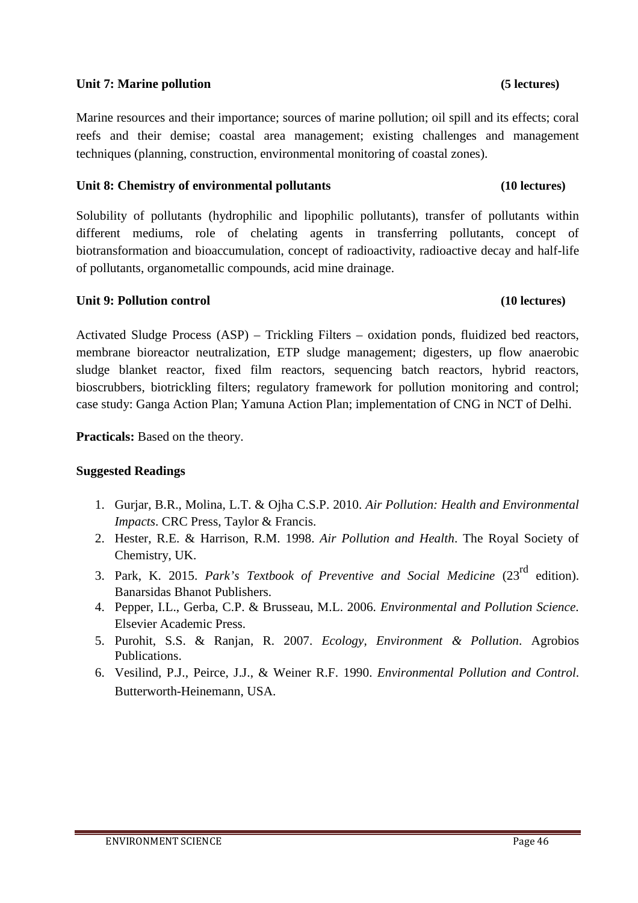# **Unit 7: Marine pollution (5 lectures)**

Marine resources and their importance; sources of marine pollution; oil spill and its effects; coral reefs and their demise; coastal area management; existing challenges and management techniques (planning, construction, environmental monitoring of coastal zones).

# **Unit 8: Chemistry of environmental pollutants (10 lectures)**

Solubility of pollutants (hydrophilic and lipophilic pollutants), transfer of pollutants within different mediums, role of chelating agents in transferring pollutants, concept of biotransformation and bioaccumulation, concept of radioactivity, radioactive decay and half-life of pollutants, organometallic compounds, acid mine drainage.

# **Unit 9: Pollution control (10 lectures)**

Activated Sludge Process (ASP) – Trickling Filters – oxidation ponds, fluidized bed reactors, membrane bioreactor neutralization, ETP sludge management; digesters, up flow anaerobic sludge blanket reactor, fixed film reactors, sequencing batch reactors, hybrid reactors, bioscrubbers, biotrickling filters; regulatory framework for pollution monitoring and control; case study: Ganga Action Plan; Yamuna Action Plan; implementation of CNG in NCT of Delhi.

**Practicals:** Based on the theory.

- 1. Gurjar, B.R., Molina, L.T. & Ojha C.S.P. 2010. *Air Pollution: Health and Environmental Impacts*. CRC Press, Taylor & Francis.
- 2. Hester, R.E. & Harrison, R.M. 1998. *Air Pollution and Health*. The Royal Society of Chemistry, UK.
- 3. Park, K. 2015. *Park's Textbook of Preventive and Social Medicine* (23rd edition). Banarsidas Bhanot Publishers.
- 4. Pepper, I.L., Gerba, C.P. & Brusseau, M.L. 2006. *Environmental and Pollution Science*. Elsevier Academic Press.
- 5. Purohit, S.S. & Ranjan, R. 2007. *Ecology, Environment & Pollution*. Agrobios Publications.
- 6. Vesilind, P.J., Peirce, J.J., & Weiner R.F. 1990. *Environmental Pollution and Control*. Butterworth-Heinemann, USA.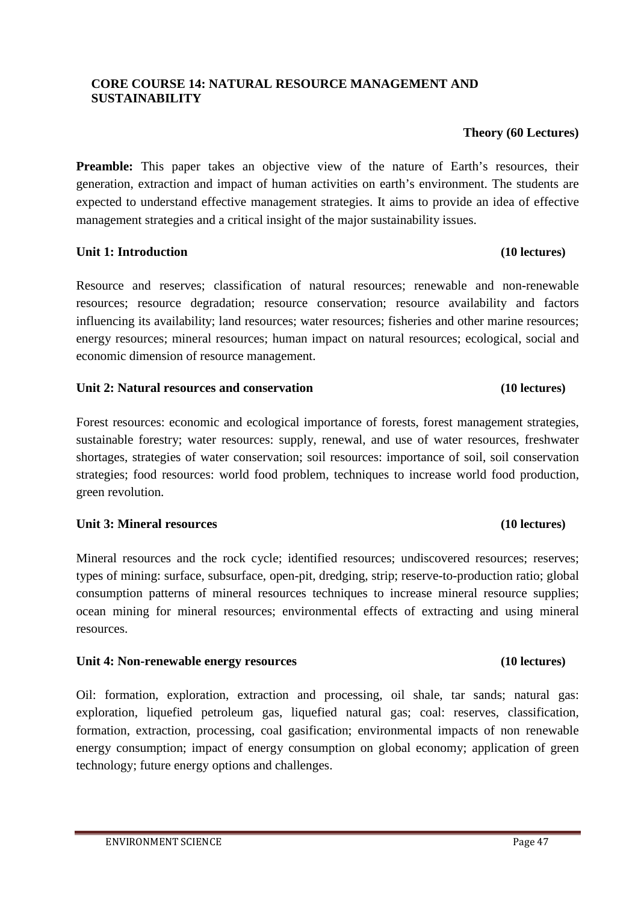# **CORE COURSE 14: NATURAL RESOURCE MANAGEMENT AND SUSTAINABILITY**

### **Theory (60 Lectures)**

**Preamble:** This paper takes an objective view of the nature of Earth's resources, their generation, extraction and impact of human activities on earth's environment. The students are expected to understand effective management strategies. It aims to provide an idea of effective management strategies and a critical insight of the major sustainability issues.

# **Unit 1: Introduction (10 lectures)**

Resource and reserves; classification of natural resources; renewable and non-renewable resources; resource degradation; resource conservation; resource availability and factors influencing its availability; land resources; water resources; fisheries and other marine resources; energy resources; mineral resources; human impact on natural resources; ecological, social and economic dimension of resource management.

# **Unit 2: Natural resources and conservation (10 lectures)**

Forest resources: economic and ecological importance of forests, forest management strategies, sustainable forestry; water resources: supply, renewal, and use of water resources, freshwater shortages, strategies of water conservation; soil resources: importance of soil, soil conservation strategies; food resources: world food problem, techniques to increase world food production, green revolution.

# **Unit 3: Mineral resources (10 lectures)**

Mineral resources and the rock cycle; identified resources; undiscovered resources; reserves; types of mining: surface, subsurface, open-pit, dredging, strip; reserve-to-production ratio; global consumption patterns of mineral resources techniques to increase mineral resource supplies; ocean mining for mineral resources; environmental effects of extracting and using mineral resources.

# **Unit 4: Non-renewable energy resources (10 lectures)**

Oil: formation, exploration, extraction and processing, oil shale, tar sands; natural gas: exploration, liquefied petroleum gas, liquefied natural gas; coal: reserves, classification, formation, extraction, processing, coal gasification; environmental impacts of non renewable energy consumption; impact of energy consumption on global economy; application of green technology; future energy options and challenges.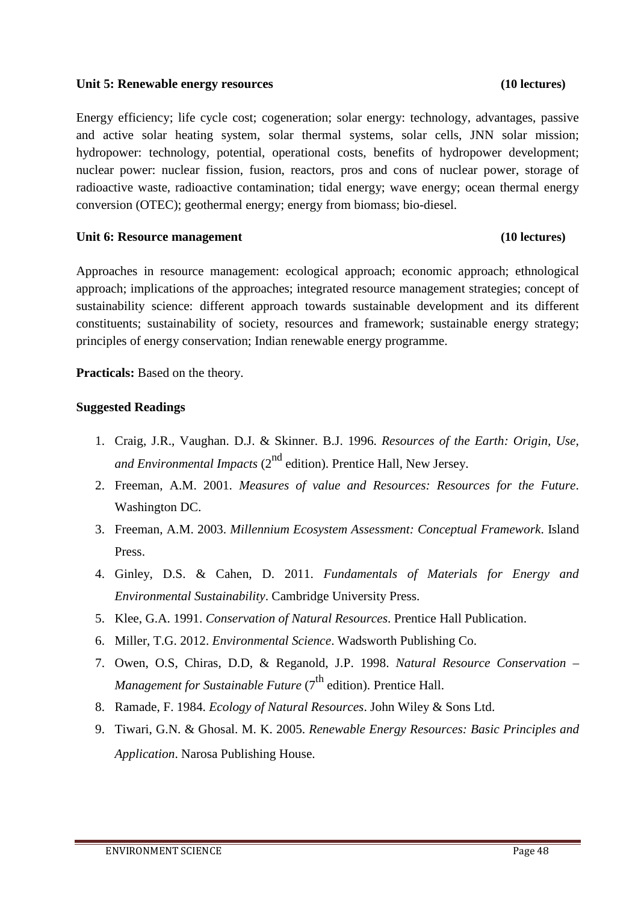### **Unit 5: Renewable energy resources (10 lectures)**

Energy efficiency; life cycle cost; cogeneration; solar energy: technology, advantages, passive and active solar heating system, solar thermal systems, solar cells, JNN solar mission; hydropower: technology, potential, operational costs, benefits of hydropower development; nuclear power: nuclear fission, fusion, reactors, pros and cons of nuclear power, storage of radioactive waste, radioactive contamination; tidal energy; wave energy; ocean thermal energy conversion (OTEC); geothermal energy; energy from biomass; bio-diesel.

### **Unit 6: Resource management (10 lectures)**

# Approaches in resource management: ecological approach; economic approach; ethnological approach; implications of the approaches; integrated resource management strategies; concept of sustainability science: different approach towards sustainable development and its different constituents; sustainability of society, resources and framework; sustainable energy strategy; principles of energy conservation; Indian renewable energy programme.

**Practicals:** Based on the theory.

- 1. Craig, J.R., Vaughan. D.J. & Skinner. B.J. 1996. *Resources of the Earth: Origin, Use, and Environmental Impacts* (2<sup>nd</sup> edition). Prentice Hall, New Jersey.
- 2. Freeman, A.M. 2001. *Measures of value and Resources: Resources for the Future*. Washington DC.
- 3. Freeman, A.M. 2003. *Millennium Ecosystem Assessment: Conceptual Framework*. Island Press.
- 4. Ginley, D.S. & Cahen, D. 2011. *Fundamentals of Materials for Energy and Environmental Sustainability*. Cambridge University Press.
- 5. Klee, G.A. 1991. *Conservation of Natural Resources*. Prentice Hall Publication.
- 6. Miller, T.G. 2012. *Environmental Science*. Wadsworth Publishing Co.
- 7. Owen, O.S, Chiras, D.D, & Reganold, J.P. 1998. *Natural Resource Conservation – Management for Sustainable Future* (7<sup>th</sup> edition). Prentice Hall.
- 8. Ramade, F. 1984. *Ecology of Natural Resources*. John Wiley & Sons Ltd.
- 9. Tiwari, G.N. & Ghosal. M. K. 2005. *Renewable Energy Resources: Basic Principles and Application*. Narosa Publishing House.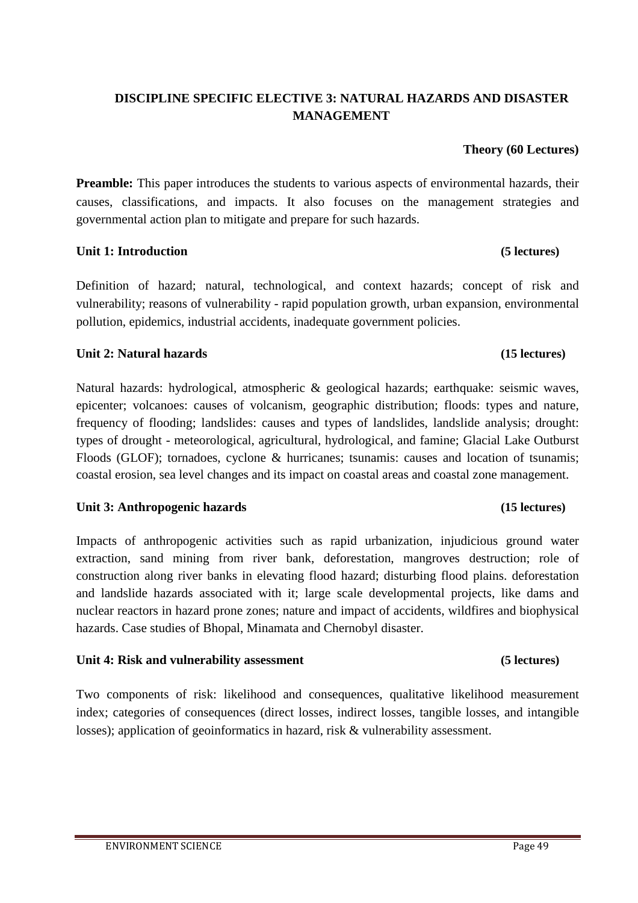# **DISCIPLINE SPECIFIC ELECTIVE 3: NATURAL HAZARDS AND DISASTER MANAGEMENT**

### **Theory (60 Lectures)**

**Preamble:** This paper introduces the students to various aspects of environmental hazards, their causes, classifications, and impacts. It also focuses on the management strategies and governmental action plan to mitigate and prepare for such hazards.

### **Unit 1: Introduction (5 lectures)**

Definition of hazard; natural, technological, and context hazards; concept of risk and vulnerability; reasons of vulnerability - rapid population growth, urban expansion, environmental pollution, epidemics, industrial accidents, inadequate government policies.

### **Unit 2: Natural hazards (15 lectures)**

Natural hazards: hydrological, atmospheric & geological hazards; earthquake: seismic waves, epicenter; volcanoes: causes of volcanism, geographic distribution; floods: types and nature, frequency of flooding; landslides: causes and types of landslides, landslide analysis; drought: types of drought - meteorological, agricultural, hydrological, and famine; Glacial Lake Outburst Floods (GLOF); tornadoes, cyclone & hurricanes; tsunamis: causes and location of tsunamis; coastal erosion, sea level changes and its impact on coastal areas and coastal zone management.

### **Unit 3: Anthropogenic hazards (15 lectures)**

Impacts of anthropogenic activities such as rapid urbanization, injudicious ground water extraction, sand mining from river bank, deforestation, mangroves destruction; role of construction along river banks in elevating flood hazard; disturbing flood plains. deforestation and landslide hazards associated with it; large scale developmental projects, like dams and nuclear reactors in hazard prone zones; nature and impact of accidents, wildfires and biophysical hazards. Case studies of Bhopal, Minamata and Chernobyl disaster.

### **Unit 4: Risk and vulnerability assessment (5 lectures)**

Two components of risk: likelihood and consequences, qualitative likelihood measurement index; categories of consequences (direct losses, indirect losses, tangible losses, and intangible losses); application of geoinformatics in hazard, risk & vulnerability assessment.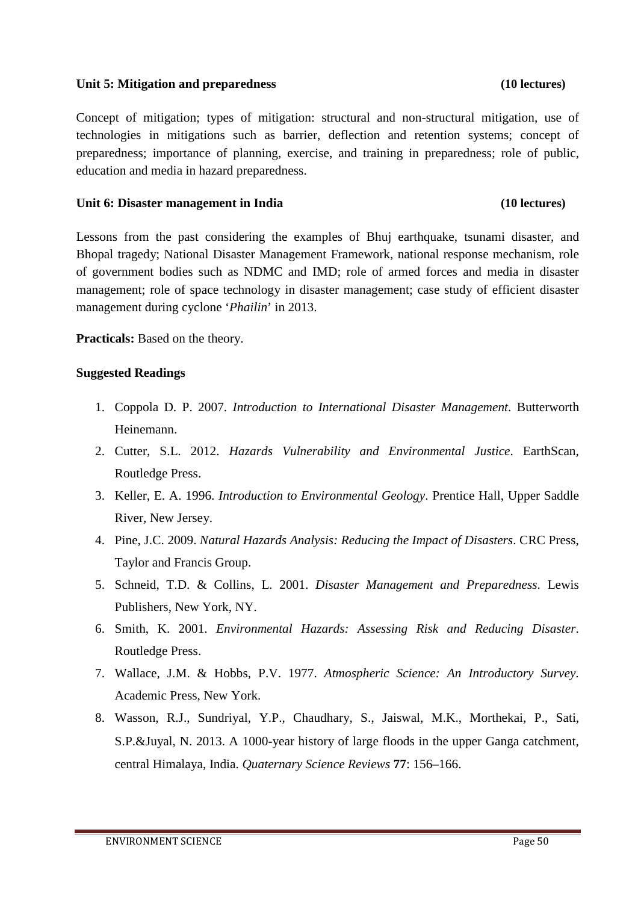### **Unit 5: Mitigation and preparedness (10 lectures)**

Concept of mitigation; types of mitigation: structural and non-structural mitigation, use of technologies in mitigations such as barrier, deflection and retention systems; concept of preparedness; importance of planning, exercise, and training in preparedness; role of public, education and media in hazard preparedness.

# **Unit 6: Disaster management in India (10 lectures)**

Lessons from the past considering the examples of Bhuj earthquake, tsunami disaster, and Bhopal tragedy; National Disaster Management Framework, national response mechanism, role of government bodies such as NDMC and IMD; role of armed forces and media in disaster management; role of space technology in disaster management; case study of efficient disaster management during cyclone '*Phailin*' in 2013.

**Practicals:** Based on the theory.

- 1. Coppola D. P. 2007. *Introduction to International Disaster Management*. Butterworth Heinemann.
- 2. Cutter, S.L. 2012. *Hazards Vulnerability and Environmental Justice*. EarthScan, Routledge Press.
- 3. Keller, E. A. 1996. *Introduction to Environmental Geology*. Prentice Hall, Upper Saddle River, New Jersey.
- 4. Pine, J.C. 2009. *Natural Hazards Analysis: Reducing the Impact of Disasters*. CRC Press, Taylor and Francis Group.
- 5. Schneid, T.D. & Collins, L. 2001. *Disaster Management and Preparedness*. Lewis Publishers, New York, NY.
- 6. Smith, K. 2001. *Environmental Hazards: Assessing Risk and Reducing Disaster*. Routledge Press.
- 7. Wallace, J.M. & Hobbs, P.V. 1977. *Atmospheric Science: An Introductory Survey*. Academic Press, New York.
- 8. Wasson, R.J., Sundriyal, Y.P., Chaudhary, S., Jaiswal, M.K., Morthekai, P., Sati, S.P.&Juyal, N. 2013. A 1000-year history of large floods in the upper Ganga catchment, central Himalaya, India. *Quaternary Science Reviews* **77**: 156–166.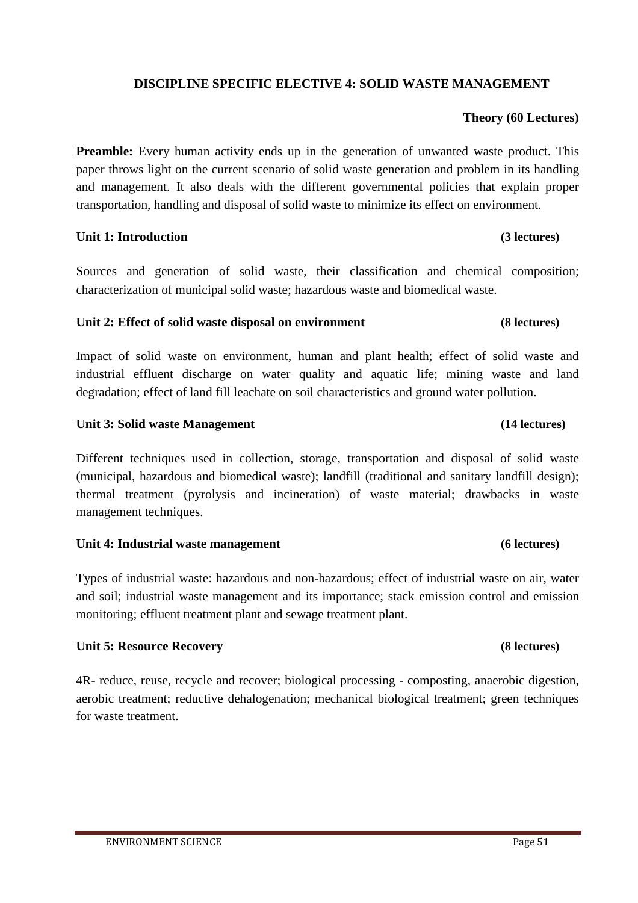# **DISCIPLINE SPECIFIC ELECTIVE 4: SOLID WASTE MANAGEMENT**

# **Theory (60 Lectures)**

**Preamble:** Every human activity ends up in the generation of unwanted waste product. This paper throws light on the current scenario of solid waste generation and problem in its handling and management. It also deals with the different governmental policies that explain proper transportation, handling and disposal of solid waste to minimize its effect on environment.

### **Unit 1: Introduction (3 lectures)**

Sources and generation of solid waste, their classification and chemical composition; characterization of municipal solid waste; hazardous waste and biomedical waste.

# **Unit 2: Effect of solid waste disposal on environment (8 lectures)**

Impact of solid waste on environment, human and plant health; effect of solid waste and industrial effluent discharge on water quality and aquatic life; mining waste and land degradation; effect of land fill leachate on soil characteristics and ground water pollution.

# **Unit 3: Solid waste Management (14 lectures)**

Different techniques used in collection, storage, transportation and disposal of solid waste (municipal, hazardous and biomedical waste); landfill (traditional and sanitary landfill design); thermal treatment (pyrolysis and incineration) of waste material; drawbacks in waste management techniques.

# **Unit 4: Industrial waste management (6 lectures)**

Types of industrial waste: hazardous and non-hazardous; effect of industrial waste on air, water and soil; industrial waste management and its importance; stack emission control and emission monitoring; effluent treatment plant and sewage treatment plant.

# **Unit 5: Resource Recovery (8 lectures)**

4R- reduce, reuse, recycle and recover; biological processing - composting, anaerobic digestion, aerobic treatment; reductive dehalogenation; mechanical biological treatment; green techniques for waste treatment.